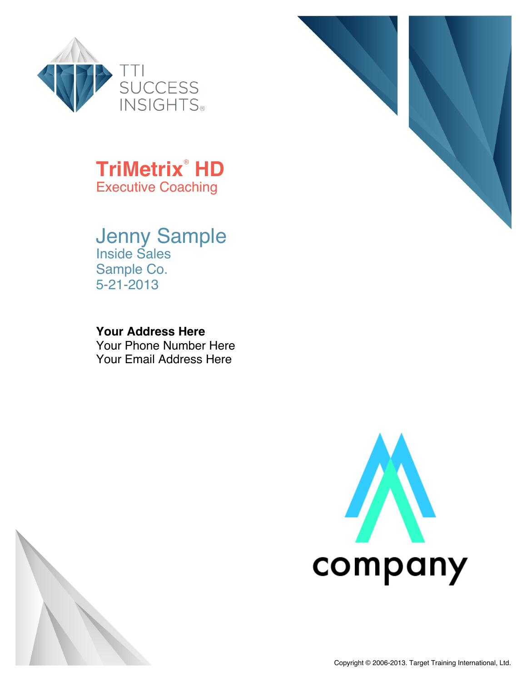



### Jenny Sample Inside Sales Sample Co. 5-21-2013

#### **Your Address Here**

Your Phone Number Here Your Email Address Here





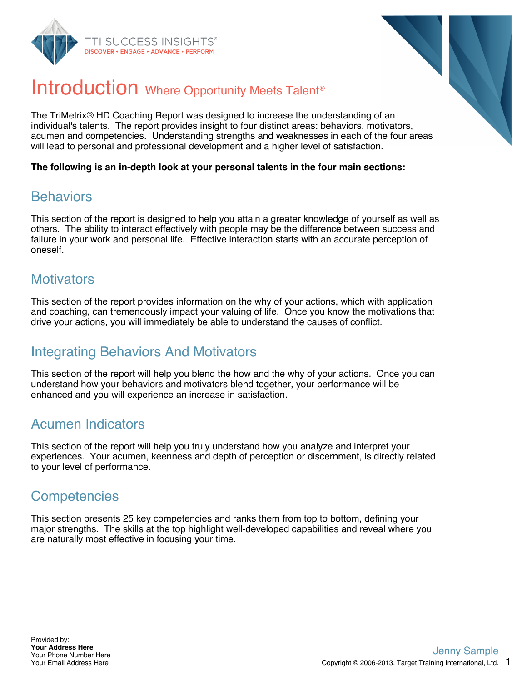



## Introduction Where Opportunity Meets Talent<sup>®</sup>

The TriMetrix® HD Coaching Report was designed to increase the understanding of an individual's talents. The report provides insight to four distinct areas: behaviors, motivators, acumen and competencies. Understanding strengths and weaknesses in each of the four areas will lead to personal and professional development and a higher level of satisfaction.

**The following is an in-depth look at your personal talents in the four main sections:**

#### **Behaviors**

This section of the report is designed to help you attain a greater knowledge of yourself as well as others. The ability to interact effectively with people may be the difference between success and failure in your work and personal life. Effective interaction starts with an accurate perception of oneself.

### **Motivators**

This section of the report provides information on the why of your actions, which with application and coaching, can tremendously impact your valuing of life. Once you know the motivations that drive your actions, you will immediately be able to understand the causes of conflict.

### Integrating Behaviors And Motivators

This section of the report will help you blend the how and the why of your actions. Once you can understand how your behaviors and motivators blend together, your performance will be enhanced and you will experience an increase in satisfaction.

### Acumen Indicators

This section of the report will help you truly understand how you analyze and interpret your experiences. Your acumen, keenness and depth of perception or discernment, is directly related to your level of performance.

### **Competencies**

This section presents 25 key competencies and ranks them from top to bottom, defining your major strengths. The skills at the top highlight well-developed capabilities and reveal where you are naturally most effective in focusing your time.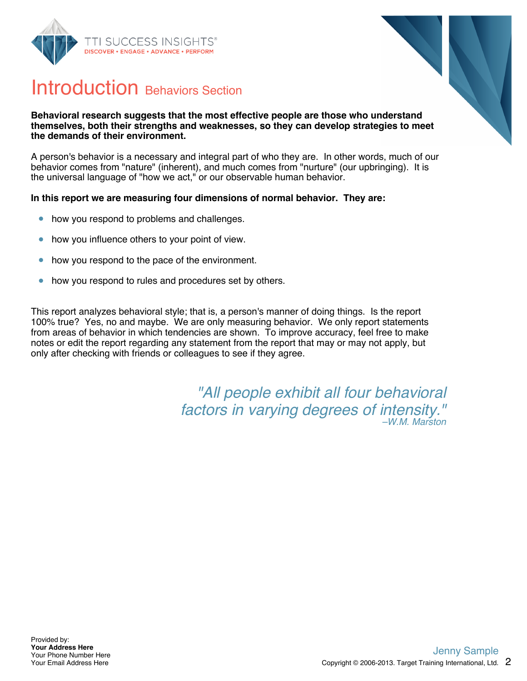



### Introduction Behaviors Section

#### **Behavioral research suggests that the most effective people are those who understand themselves, both their strengths and weaknesses, so they can develop strategies to meet the demands of their environment.**

A person's behavior is a necessary and integral part of who they are. In other words, much of our behavior comes from "nature" (inherent), and much comes from "nurture" (our upbringing). It is the universal language of "how we act," or our observable human behavior.

#### **In this report we are measuring four dimensions of normal behavior. They are:**

- how you respond to problems and challenges.  $\bullet$
- how you influence others to your point of view.  $\bullet$
- how you respond to the pace of the environment.  $\bullet$
- how you respond to rules and procedures set by others.  $\bullet$

This report analyzes behavioral style; that is, a person's manner of doing things. Is the report 100% true? Yes, no and maybe. We are only measuring behavior. We only report statements from areas of behavior in which tendencies are shown. To improve accuracy, feel free to make notes or edit the report regarding any statement from the report that may or may not apply, but only after checking with friends or colleagues to see if they agree.

> *"All people exhibit all four behavioral factors in varying degrees of intensity." –W.M. Marston*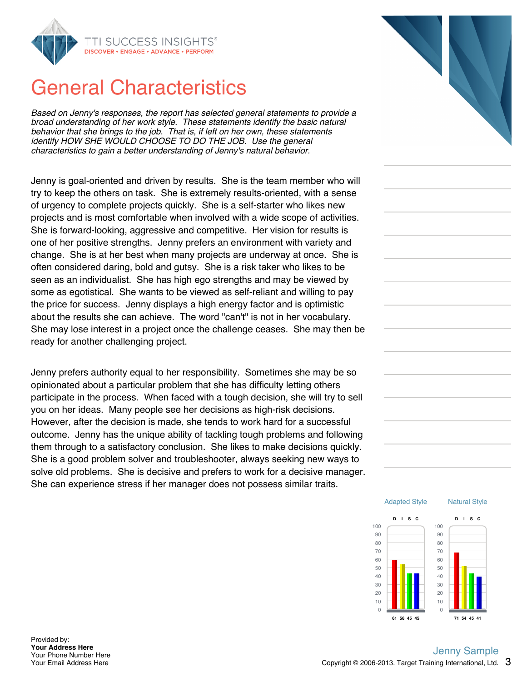

# General Characteristics

*Based on Jenny's responses, the report has selected general statements to provide a broad understanding of her work style. These statements identify the basic natural behavior that she brings to the job. That is, if left on her own, these statements identify HOW SHE WOULD CHOOSE TO DO THE JOB. Use the general characteristics to gain a better understanding of Jenny's natural behavior.*

Jenny is goal-oriented and driven by results. She is the team member who will try to keep the others on task. She is extremely results-oriented, with a sense of urgency to complete projects quickly. She is a self-starter who likes new projects and is most comfortable when involved with a wide scope of activities. She is forward-looking, aggressive and competitive. Her vision for results is one of her positive strengths. Jenny prefers an environment with variety and change. She is at her best when many projects are underway at once. She is often considered daring, bold and gutsy. She is a risk taker who likes to be seen as an individualist. She has high ego strengths and may be viewed by some as egotistical. She wants to be viewed as self-reliant and willing to pay the price for success. Jenny displays a high energy factor and is optimistic about the results she can achieve. The word "can't" is not in her vocabulary. She may lose interest in a project once the challenge ceases. She may then be ready for another challenging project.

Jenny prefers authority equal to her responsibility. Sometimes she may be so opinionated about a particular problem that she has difficulty letting others participate in the process. When faced with a tough decision, she will try to sell you on her ideas. Many people see her decisions as high-risk decisions. However, after the decision is made, she tends to work hard for a successful outcome. Jenny has the unique ability of tackling tough problems and following them through to a satisfactory conclusion. She likes to make decisions quickly. She is a good problem solver and troubleshooter, always seeking new ways to solve old problems. She is decisive and prefers to work for a decisive manager. She can experience stress if her manager does not possess similar traits.



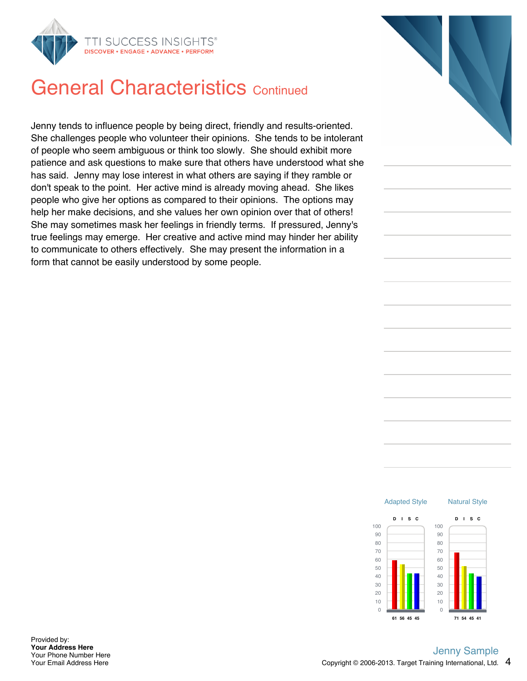

# **General Characteristics Continued**

Jenny tends to influence people by being direct, friendly and results-oriented. She challenges people who volunteer their opinions. She tends to be intolerant of people who seem ambiguous or think too slowly. She should exhibit more patience and ask questions to make sure that others have understood what she has said. Jenny may lose interest in what others are saying if they ramble or don't speak to the point. Her active mind is already moving ahead. She likes people who give her options as compared to their opinions. The options may help her make decisions, and she values her own opinion over that of others! She may sometimes mask her feelings in friendly terms. If pressured, Jenny's true feelings may emerge. Her creative and active mind may hinder her ability to communicate to others effectively. She may present the information in a form that cannot be easily understood by some people.



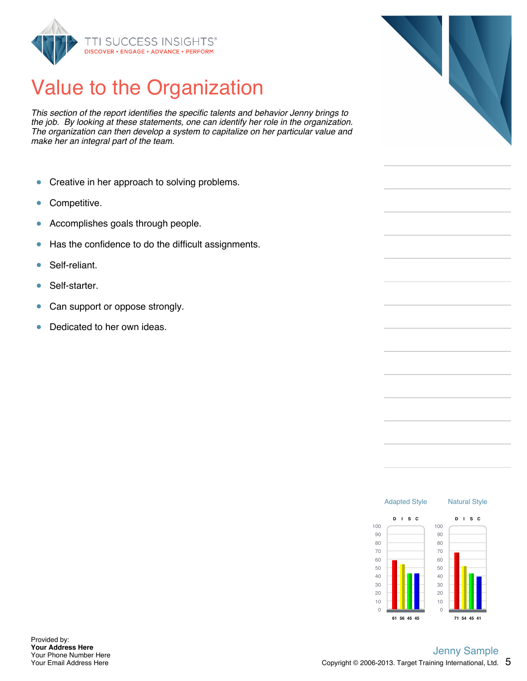

# Value to the Organization

*This section of the report identifies the specific talents and behavior Jenny brings to the job. By looking at these statements, one can identify her role in the organization. The organization can then develop a system to capitalize on her particular value and make her an integral part of the team.*

- $\bullet$ Creative in her approach to solving problems.
- Competitive.  $\bullet$
- Accomplishes goals through people.  $\bullet$
- Has the confidence to do the difficult assignments.  $\bullet$
- Self-reliant. Ŏ
- Self-starter.  $\bullet$
- $\bullet$ Can support or oppose strongly.
- Dedicated to her own ideas.  $\bullet$



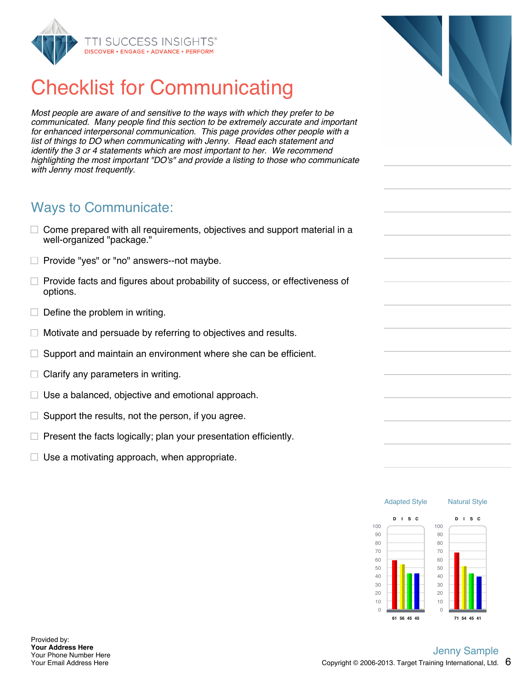

# Checklist for Communicating

*Most people are aware of and sensitive to the ways with which they prefer to be communicated. Many people find this section to be extremely accurate and important for enhanced interpersonal communication. This page provides other people with a list of things to DO when communicating with Jenny. Read each statement and identify the 3 or 4 statements which are most important to her. We recommend highlighting the most important "DO's" and provide a listing to those who communicate with Jenny most frequently.*

#### Ways to Communicate:

- $\Box$  Come prepared with all requirements, objectives and support material in a well-organized "package."
- $\Box$  Provide "yes" or "no" answers--not maybe.
- $\Box$  Provide facts and figures about probability of success, or effectiveness of options.
- $\Box$  Define the problem in writing.
- Motivate and persuade by referring to objectives and results.  $\Box$
- $\Box$ Support and maintain an environment where she can be efficient.
- Clarify any parameters in writing.
- $\Box$  Use a balanced, objective and emotional approach.
- Support the results, not the person, if you agree.  $\Box$
- $\Box$  Present the facts logically; plan your presentation efficiently.
- $\Box$  Use a motivating approach, when appropriate.

100 90 80 Natural Style

**D I S C**

Adapted Style

**D I S C**

100 90 80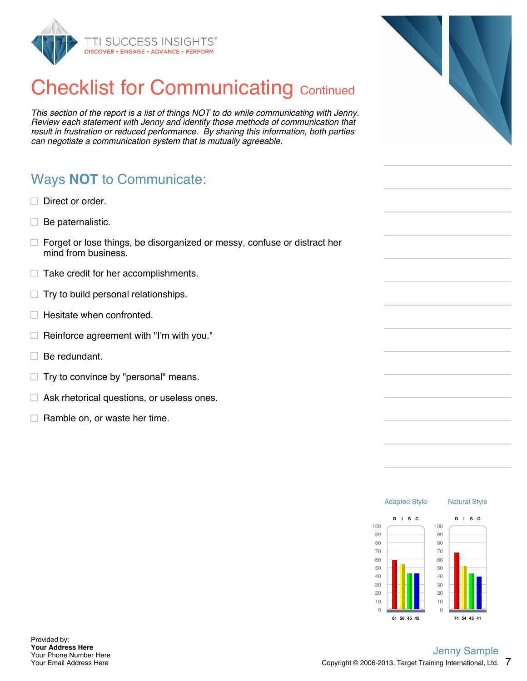

# **Checklist for Communicating Continued**

*This section of the report is a list of things NOT to do while communicating with Jenny. Review each statement with Jenny and identify those methods of communication that result in frustration or reduced performance. By sharing this information, both parties can negotiate a communication system that is mutually agreeable.*

### Ways **NOT** to Communicate:

- $\Box$  Direct or order.
- $\Box$  Be paternalistic.
- $\Box$  Forget or lose things, be disorganized or messy, confuse or distract her mind from business.
- $\Box$  Take credit for her accomplishments.
- $\Box$  Try to build personal relationships.
- $\Box$  Hesitate when confronted.
- $\Box$  Reinforce agreement with "I'm with you."
- $\Box$  Be redundant.

Provided by: **Your Address Here** Your Phone Number Here Your Email Address Here

- $\Box$  Try to convince by "personal" means.
- $\Box$  Ask rhetorical questions, or useless ones.
- $\Box$  Ramble on, or waste her time.



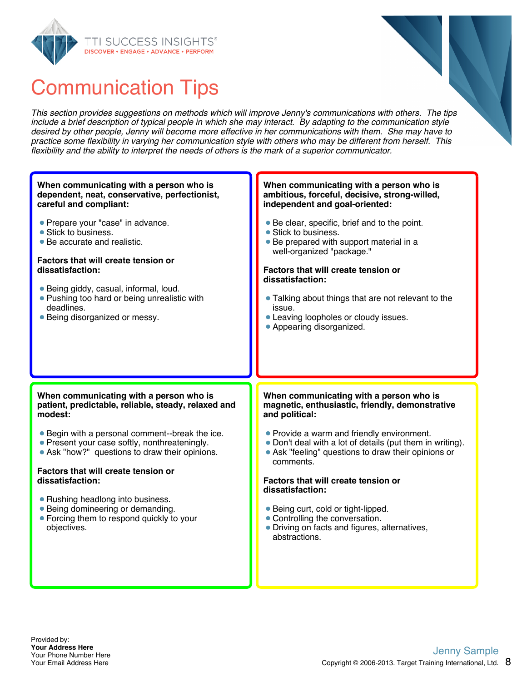



*This section provides suggestions on methods which will improve Jenny's communications with others. The tips include a brief description of typical people in which she may interact. By adapting to the communication style desired by other people, Jenny will become more effective in her communications with them. She may have to practice some flexibility in varying her communication style with others who may be different from herself. This flexibility and the ability to interpret the needs of others is the mark of a superior communicator.*

| When communicating with a person who is                                                                                                                                                                                                                                                               | When communicating with a person who is                                                                                                                                                                                                                                                                                                                 |
|-------------------------------------------------------------------------------------------------------------------------------------------------------------------------------------------------------------------------------------------------------------------------------------------------------|---------------------------------------------------------------------------------------------------------------------------------------------------------------------------------------------------------------------------------------------------------------------------------------------------------------------------------------------------------|
| dependent, neat, conservative, perfectionist,                                                                                                                                                                                                                                                         | ambitious, forceful, decisive, strong-willed,                                                                                                                                                                                                                                                                                                           |
| careful and compliant:                                                                                                                                                                                                                                                                                | independent and goal-oriented:                                                                                                                                                                                                                                                                                                                          |
| • Prepare your "case" in advance.<br>• Stick to business.<br>• Be accurate and realistic.<br><b>Factors that will create tension or</b><br>dissatisfaction:<br>• Being giddy, casual, informal, loud.<br>• Pushing too hard or being unrealistic with<br>deadlines.<br>• Being disorganized or messy. | • Be clear, specific, brief and to the point.<br>• Stick to business.<br>• Be prepared with support material in a<br>well-organized "package."<br><b>Factors that will create tension or</b><br>dissatisfaction:<br>• Talking about things that are not relevant to the<br>issue.<br>• Leaving loopholes or cloudy issues.<br>• Appearing disorganized. |
| When communicating with a person who is                                                                                                                                                                                                                                                               | When communicating with a person who is                                                                                                                                                                                                                                                                                                                 |
|                                                                                                                                                                                                                                                                                                       |                                                                                                                                                                                                                                                                                                                                                         |
| patient, predictable, reliable, steady, relaxed and                                                                                                                                                                                                                                                   | magnetic, enthusiastic, friendly, demonstrative                                                                                                                                                                                                                                                                                                         |
| modest:                                                                                                                                                                                                                                                                                               | and political:                                                                                                                                                                                                                                                                                                                                          |
| • Begin with a personal comment--break the ice.                                                                                                                                                                                                                                                       | • Provide a warm and friendly environment.                                                                                                                                                                                                                                                                                                              |
| • Present your case softly, nonthreateningly.                                                                                                                                                                                                                                                         | • Ask "feeling" questions to draw their opinions or                                                                                                                                                                                                                                                                                                     |
| • Ask "how?" questions to draw their opinions.                                                                                                                                                                                                                                                        | comments.                                                                                                                                                                                                                                                                                                                                               |
| <b>Factors that will create tension or</b>                                                                                                                                                                                                                                                            | • Don't deal with a lot of details (put them in writing).                                                                                                                                                                                                                                                                                               |
| dissatisfaction:                                                                                                                                                                                                                                                                                      | <b>Factors that will create tension or</b>                                                                                                                                                                                                                                                                                                              |
| • Rushing headlong into business.<br>• Being domineering or demanding.<br>• Forcing them to respond quickly to your<br>objectives.                                                                                                                                                                    | dissatisfaction:<br>• Being curt, cold or tight-lipped.<br>• Controlling the conversation.<br>• Driving on facts and figures, alternatives,<br>abstractions.                                                                                                                                                                                            |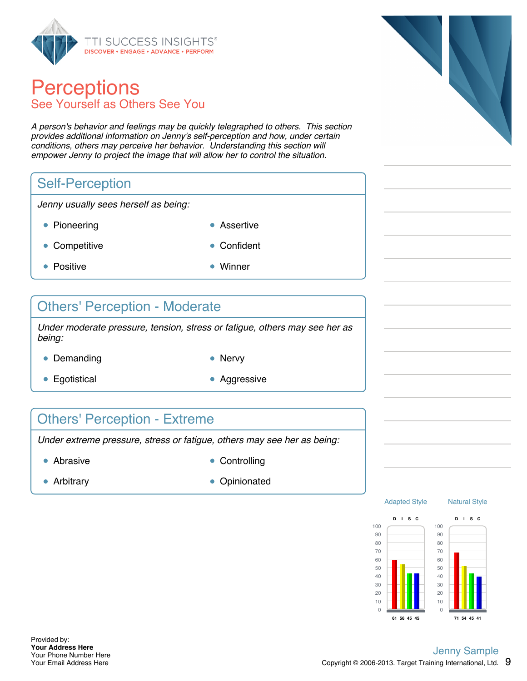

### **Perceptions** See Yourself as Others See You

*A person's behavior and feelings may be quickly telegraphed to others. This section provides additional information on Jenny's self-perception and how, under certain conditions, others may perceive her behavior. Understanding this section will empower Jenny to project the image that will allow her to control the situation.*

### Self-Perception

*Jenny usually sees herself as being:*

- Pioneering **Assertive** 
	-
- Competitive **Confident**
- Positive **Winner**
- 

#### Others' Perception - Moderate

*Under moderate pressure, tension, stress or fatigue, others may see her as being:*

- Demanding Nervy
	-
- Egotistical **Aggressive** Aggressive
- 

### Others' Perception - Extreme

*Under extreme pressure, stress or fatigue, others may see her as being:*

- 
- Abrasive **Controlling**
- 
- Arbitrary **Opinionated**





Adapted Style



Natural Style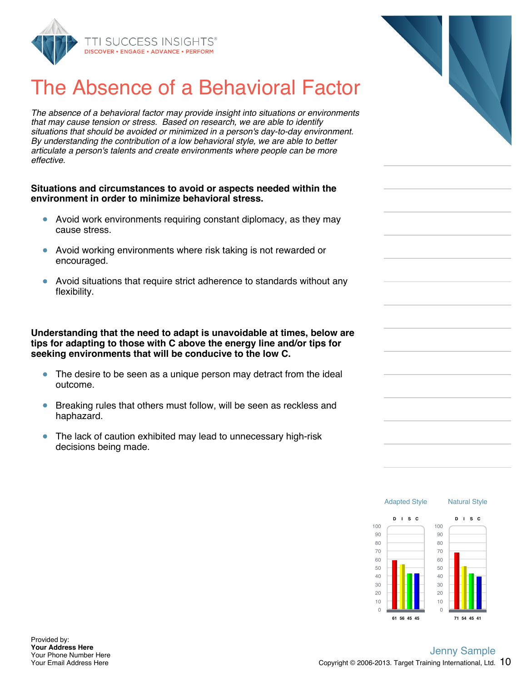

# The Absence of a Behavioral Factor

*The absence of a behavioral factor may provide insight into situations or environments that may cause tension or stress. Based on research, we are able to identify situations that should be avoided or minimized in a person's day-to-day environment. By understanding the contribution of a low behavioral style, we are able to better articulate a person's talents and create environments where people can be more effective.*

#### **Situations and circumstances to avoid or aspects needed within the environment in order to minimize behavioral stress.**

- Avoid work environments requiring constant diplomacy, as they may cause stress.
- Avoid working environments where risk taking is not rewarded or encouraged.
- Avoid situations that require strict adherence to standards without any  $\bullet$ flexibility.

**Understanding that the need to adapt is unavoidable at times, below are tips for adapting to those with C above the energy line and/or tips for seeking environments that will be conducive to the low C.**

- The desire to be seen as a unique person may detract from the ideal outcome.
- Breaking rules that others must follow, will be seen as reckless and  $\bullet$ haphazard.
- $\bullet$ The lack of caution exhibited may lead to unnecessary high-risk decisions being made.

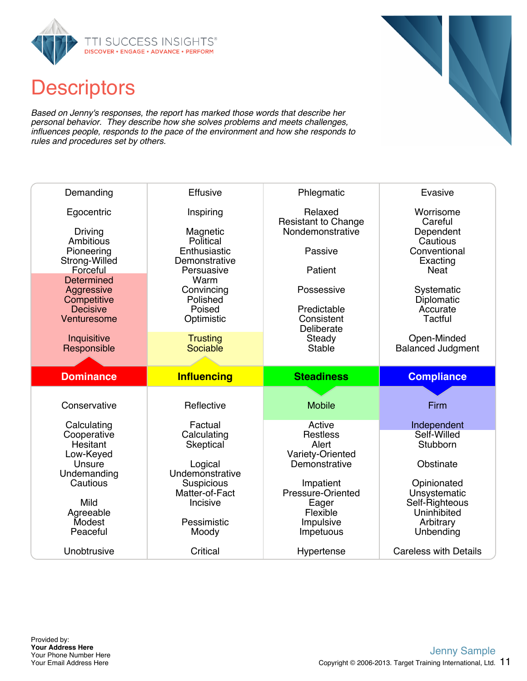

# **Descriptors**

*Based on Jenny's responses, the report has marked those words that describe her personal behavior. They describe how she solves problems and meets challenges, influences people, responds to the pace of the environment and how she responds to rules and procedures set by others.*

| Demanding                                                                                                                                                  | Effusive                                                                                                                                          | Phlegmatic                                                                                                                                               | Evasive                                                                                                                                                                              |
|------------------------------------------------------------------------------------------------------------------------------------------------------------|---------------------------------------------------------------------------------------------------------------------------------------------------|----------------------------------------------------------------------------------------------------------------------------------------------------------|--------------------------------------------------------------------------------------------------------------------------------------------------------------------------------------|
| Egocentric<br>Driving<br>Ambitious<br>Pioneering<br>Strong-Willed<br>Forceful<br>Determined<br>Aggressive<br>Competitive<br><b>Decisive</b><br>Venturesome | Inspiring<br>Magnetic<br>Political<br>Enthusiastic<br>Demonstrative<br>Persuasive<br>Warm<br>Convincing<br>Polished<br>Poised<br>Optimistic       | Relaxed<br><b>Resistant to Change</b><br>Nondemonstrative<br>Passive<br>Patient<br>Possessive<br>Predictable<br>Consistent<br>Deliberate                 | Worrisome<br>Careful<br>Dependent<br>Cautious<br>Conventional<br>Exacting<br><b>Neat</b><br>Systematic<br>Diplomatic<br>Accurate<br>Tactful                                          |
| Inquisitive<br>Responsible                                                                                                                                 | <b>Trusting</b><br>Sociable                                                                                                                       | Steady<br><b>Stable</b>                                                                                                                                  | Open-Minded<br><b>Balanced Judgment</b>                                                                                                                                              |
|                                                                                                                                                            |                                                                                                                                                   |                                                                                                                                                          |                                                                                                                                                                                      |
| <b>Dominance</b>                                                                                                                                           | <b>Influencing</b>                                                                                                                                | <b>Steadiness</b>                                                                                                                                        | <b>Compliance</b>                                                                                                                                                                    |
| Conservative                                                                                                                                               | Reflective                                                                                                                                        | <b>Mobile</b>                                                                                                                                            | Firm                                                                                                                                                                                 |
| Calculating<br>Cooperative<br>Hesitant<br>Low-Keyed<br>Unsure<br>Undemanding<br>Cautious<br>Mild<br>Agreeable<br>Modest<br>Peaceful<br>Unobtrusive         | Factual<br>Calculating<br>Skeptical<br>Logical<br>Undemonstrative<br>Suspicious<br>Matter-of-Fact<br>Incisive<br>Pessimistic<br>Moody<br>Critical | Active<br><b>Restless</b><br>Alert<br>Variety-Oriented<br>Demonstrative<br>Impatient<br>Pressure-Oriented<br>Eager<br>Flexible<br>Impulsive<br>Impetuous | Independent<br>Self-Willed<br><b>Stubborn</b><br>Obstinate<br>Opinionated<br>Unsystematic<br>Self-Righteous<br>Uninhibited<br>Arbitrary<br>Unbending<br><b>Careless with Details</b> |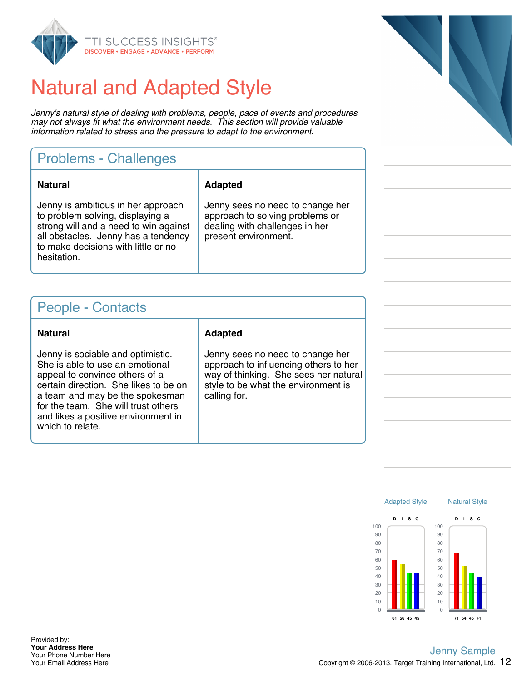

# Natural and Adapted Style

*Jenny's natural style of dealing with problems, people, pace of events and procedures may not always fit what the environment needs. This section will provide valuable information related to stress and the pressure to adapt to the environment.*

### Problems - Challenges

| <b>Natural</b>                                                                                                                                                                                               | <b>Adapted</b>                                                                                                                |
|--------------------------------------------------------------------------------------------------------------------------------------------------------------------------------------------------------------|-------------------------------------------------------------------------------------------------------------------------------|
| Jenny is ambitious in her approach<br>to problem solving, displaying a<br>strong will and a need to win against<br>all obstacles. Jenny has a tendency<br>to make decisions with little or no<br>hesitation. | Jenny sees no need to change her<br>approach to solving problems or<br>dealing with challenges in her<br>present environment. |

#### People - Contacts

Jenny is sociable and optimistic. She is able to use an emotional appeal to convince others of a certain direction. She likes to be on a team and may be the spokesman for the team. She will trust others and likes a positive environment in which to relate.

#### **Natural Adapted**

Jenny sees no need to change her approach to influencing others to her way of thinking. She sees her natural style to be what the environment is calling for.





Provided by: **Your Address Here** Your Phone Number Here Your Email Address Here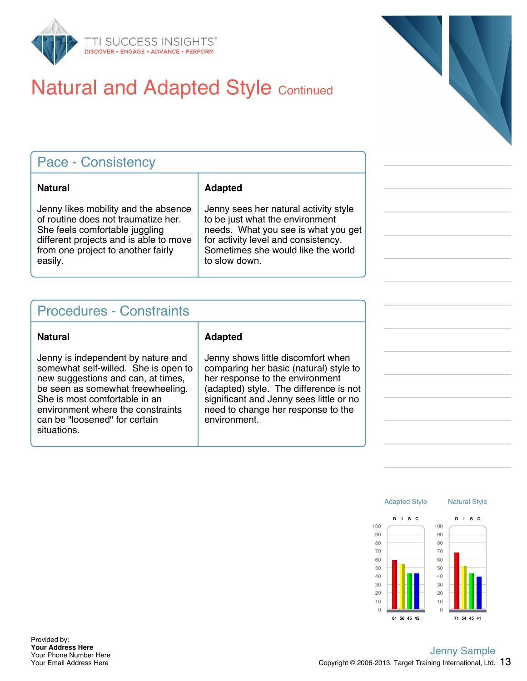

# **Natural and Adapted Style Continued**

| <b>Pace - Consistency</b>                                                                                                                                                                                |                                                                                                                                                                                                               |  |
|----------------------------------------------------------------------------------------------------------------------------------------------------------------------------------------------------------|---------------------------------------------------------------------------------------------------------------------------------------------------------------------------------------------------------------|--|
| <b>Natural</b>                                                                                                                                                                                           | <b>Adapted</b>                                                                                                                                                                                                |  |
| Jenny likes mobility and the absence<br>of routine does not traumatize her.<br>She feels comfortable juggling<br>different projects and is able to move<br>from one project to another fairly<br>easily. | Jenny sees her natural activity style<br>to be just what the environment<br>needs. What you see is what you get<br>for activity level and consistency.<br>Sometimes she would like the world<br>to slow down. |  |

### Procedures - Constraints

#### **Natural Adapted** Jenny is independent by nature and somewhat self-willed. She is open to new suggestions and can, at times, be seen as somewhat freewheeling. She is most comfortable in an environment where the constraints can be "loosened" for certain situations.

Jenny shows little discomfort when comparing her basic (natural) style to her response to the environment (adapted) style. The difference is not significant and Jenny sees little or no need to change her response to the environment.



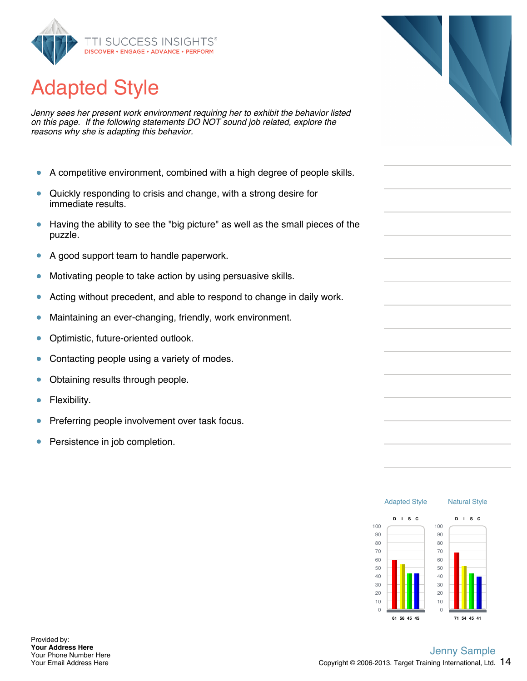

# Adapted Style

*Jenny sees her present work environment requiring her to exhibit the behavior listed on this page. If the following statements DO NOT sound job related, explore the reasons why she is adapting this behavior.*

- $\bullet$ A competitive environment, combined with a high degree of people skills.
- Quickly responding to crisis and change, with a strong desire for  $\bullet$ immediate results.
- Having the ability to see the "big picture" as well as the small pieces of the  $\bullet$ puzzle.
- A good support team to handle paperwork.  $\bullet$
- Motivating people to take action by using persuasive skills.  $\bullet$
- Acting without precedent, and able to respond to change in daily work.  $\bullet$
- Maintaining an ever-changing, friendly, work environment.  $\bullet$
- $\bullet$ Optimistic, future-oriented outlook.
- Contacting people using a variety of modes. Ŏ
- Obtaining results through people.  $\bullet$
- Flexibility. Ŏ
- Preferring people involvement over task focus.  $\bullet$
- Persistence in job completion.  $\bullet$



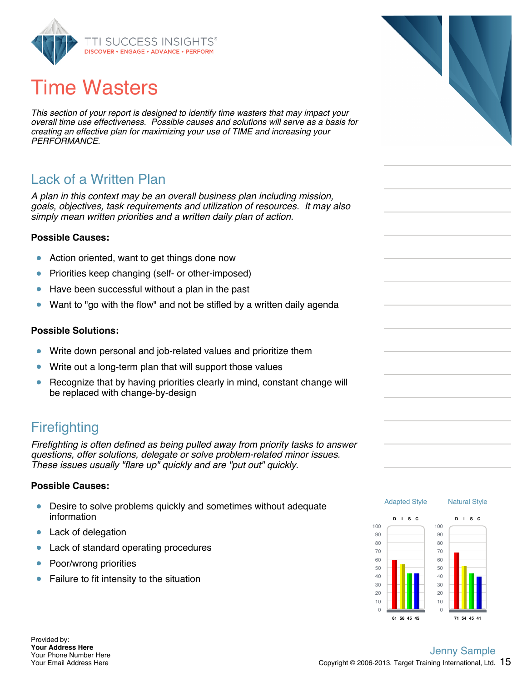

# Time Wasters

*This section of your report is designed to identify time wasters that may impact your overall time use effectiveness. Possible causes and solutions will serve as a basis for creating an effective plan for maximizing your use of TIME and increasing your PERFORMANCE.*

### Lack of a Written Plan

*A plan in this context may be an overall business plan including mission, goals, objectives, task requirements and utilization of resources. It may also simply mean written priorities and a written daily plan of action.*

#### **Possible Causes:**

- Action oriented, want to get things done now  $\bullet$
- Priorities keep changing (self- or other-imposed)  $\bullet$
- Have been successful without a plan in the past  $\bullet$
- Want to "go with the flow" and not be stifled by a written daily agenda  $\bullet$

#### **Possible Solutions:**

- $\bullet$ Write down personal and job-related values and prioritize them
- Write out a long-term plan that will support those values  $\bullet$
- Recognize that by having priorities clearly in mind, constant change will ŏ be replaced with change-by-design

#### **Firefighting**

*Firefighting is often defined as being pulled away from priority tasks to answer questions, offer solutions, delegate or solve problem-related minor issues. These issues usually "flare up" quickly and are "put out" quickly.*

#### **Possible Causes:**

- $\bullet$ Desire to solve problems quickly and sometimes without adequate information
- Lack of delegation  $\bullet$
- Lack of standard operating procedures  $\bullet$
- Poor/wrong priorities  $\bullet$
- $\bullet$ Failure to fit intensity to the situation





Provided by: **Your Address Here** Your Phone Number Here Your Email Address Here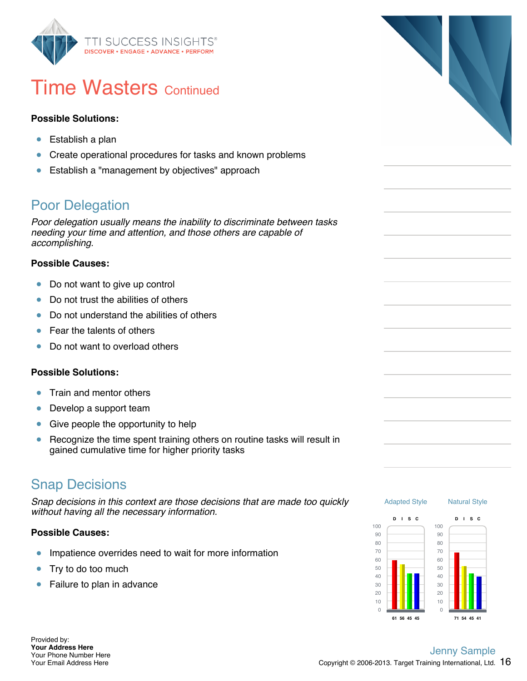

### **Time Wasters Continued**

#### **Possible Solutions:**

- Establish a plan  $\bullet$
- $\bullet$ Create operational procedures for tasks and known problems
- Establish a "management by objectives" approach  $\bullet$

### Poor Delegation

*Poor delegation usually means the inability to discriminate between tasks needing your time and attention, and those others are capable of accomplishing.*

#### **Possible Causes:**

- $\bullet$ Do not want to give up control
- $\bullet$ Do not trust the abilities of others
- Do not understand the abilities of others Ŏ
- Fear the talents of others  $\bullet$
- Do not want to overload others ö

#### **Possible Solutions:**

- Train and mentor others  $\bullet$
- Develop a support team  $\bullet$
- $\bullet$ Give people the opportunity to help
- Recognize the time spent training others on routine tasks will result in  $\bullet$ gained cumulative time for higher priority tasks

#### Snap Decisions

*Snap decisions in this context are those decisions that are made too quickly without having all the necessary information.*

#### **Possible Causes:**

- Impatience overrides need to wait for more information  $\bullet$
- Try to do too much  $\bullet$
- Failure to plan in advance  $\bullet$





**71 54 45 41**

**61 56 45 45**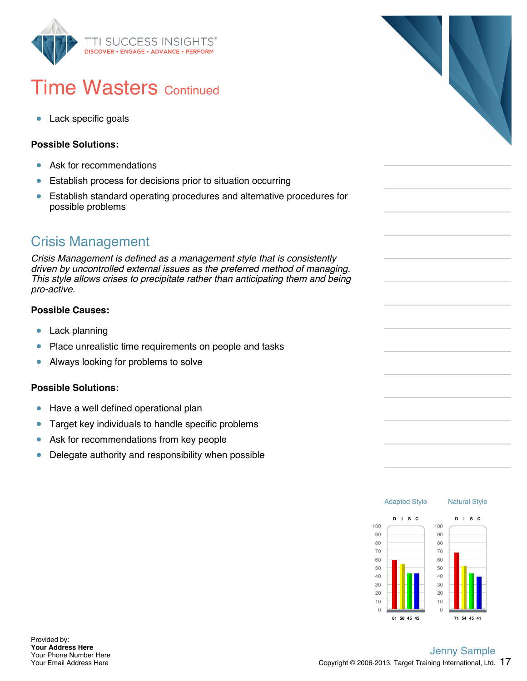

# **Time Wasters Continued**

Lack specific goals  $\bullet$ 

#### **Possible Solutions:**

- Ask for recommendations  $\bullet$
- Establish process for decisions prior to situation occurring  $\bullet$
- $\bullet$ Establish standard operating procedures and alternative procedures for possible problems

### Crisis Management

*Crisis Management is defined as a management style that is consistently driven by uncontrolled external issues as the preferred method of managing. This style allows crises to precipitate rather than anticipating them and being pro-active.*

#### **Possible Causes:**

- $\bullet$ Lack planning
- Place unrealistic time requirements on people and tasks  $\bullet$
- Always looking for problems to solve  $\bullet$

#### **Possible Solutions:**

- Have a well defined operational plan  $\bullet$
- Target key individuals to handle specific problems  $\bullet$
- Ask for recommendations from key people  $\bullet$
- Delegate authority and responsibility when possible  $\bullet$



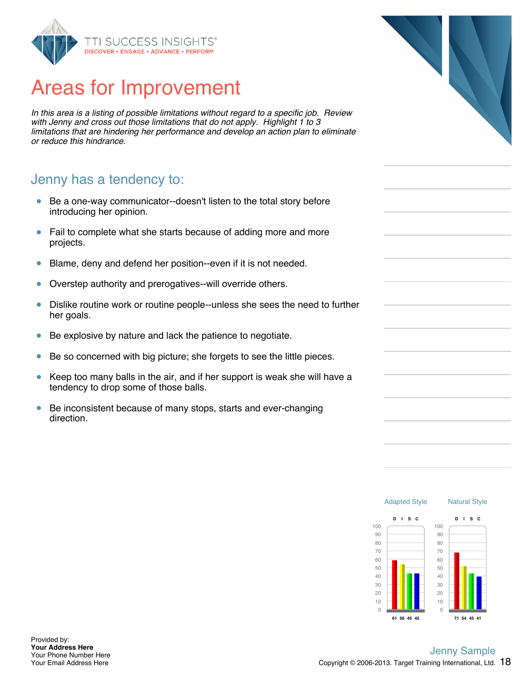

# Areas for Improvement

*In this area is a listing of possible limitations without regard to a specific job. Review with Jenny and cross out those limitations that do not apply. Highlight 1 to 3 limitations that are hindering her performance and develop an action plan to eliminate or reduce this hindrance.*

#### Jenny has a tendency to:

- Be a one-way communicator--doesn't listen to the total story before  $\bullet$ introducing her opinion.
- Fail to complete what she starts because of adding more and more  $\bullet$ projects.
- $\bullet$ Blame, deny and defend her position--even if it is not needed.
- $\bullet$ Overstep authority and prerogatives--will override others.
- $\bullet$ Dislike routine work or routine people--unless she sees the need to further her goals.
- Be explosive by nature and lack the patience to negotiate.  $\bullet$
- $\bullet$ Be so concerned with big picture; she forgets to see the little pieces.
- $\bullet$ Keep too many balls in the air, and if her support is weak she will have a tendency to drop some of those balls.
- $\bullet$ Be inconsistent because of many stops, starts and ever-changing direction.



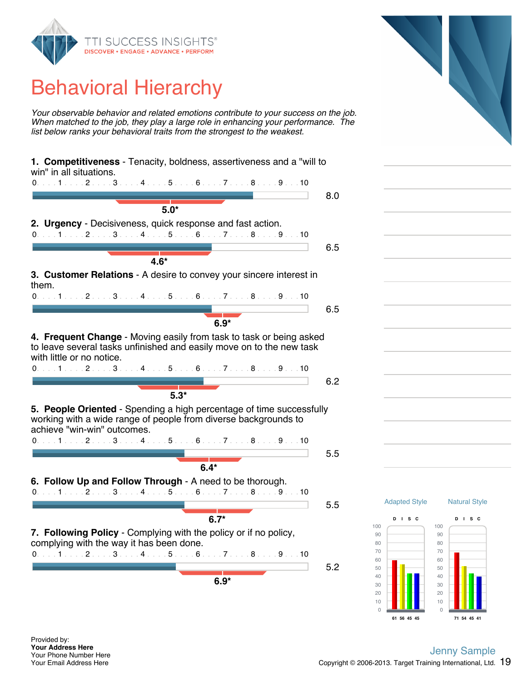

# Behavioral Hierarchy

*Your observable behavior and related emotions contribute to your success on the job. When matched to the job, they play a large role in enhancing your performance. The list below ranks your behavioral traits from the strongest to the weakest.*

| win" in all situations.<br>0. 1 2 3 4 5 6 7 8 9 10                                              |     |                      |
|-------------------------------------------------------------------------------------------------|-----|----------------------|
|                                                                                                 | 8.0 |                      |
| $5.0*$                                                                                          |     |                      |
| 2. Urgency - Decisiveness, quick response and fast action.                                      |     |                      |
| 0. 1 2 3 4 5 6 7 8 9 10                                                                         |     |                      |
|                                                                                                 | 6.5 |                      |
| $4.6*$                                                                                          |     |                      |
| 3. Customer Relations - A desire to convey your sincere interest in                             |     |                      |
| them.                                                                                           |     |                      |
| 0. 1 2 3 4 5 6 7 8 9 10                                                                         |     |                      |
|                                                                                                 | 6.5 |                      |
| $6.9*$                                                                                          |     |                      |
| 4. Frequent Change - Moving easily from task to task or being asked                             |     |                      |
| to leave several tasks unfinished and easily move on to the new task                            |     |                      |
| with little or no notice.                                                                       |     |                      |
| 0. 1 2 3 4 5 6 7 8 9 10                                                                         |     |                      |
|                                                                                                 | 6.2 |                      |
| $5.3*$                                                                                          |     |                      |
| 5. People Oriented - Spending a high percentage of time successfully                            |     |                      |
| working with a wide range of people from diverse backgrounds to                                 |     |                      |
| achieve "win-win" outcomes.                                                                     |     |                      |
| 0. 1 2 3 4 5 6 7 8 9 10                                                                         |     |                      |
|                                                                                                 | 5.5 |                      |
| $6.4*$                                                                                          |     |                      |
| 6. Follow Up and Follow Through - A need to be thorough.                                        |     |                      |
| 0. 1 2 3 4 5 6 7 8 9 10                                                                         |     |                      |
|                                                                                                 | 5.5 | <b>Adapted Style</b> |
| $6.7*$                                                                                          |     | $D$ is $C$           |
| 7. Following Policy - Complying with the policy or if no policy,                                |     | 100                  |
| complying with the way it has been done.                                                        |     | 90<br>80             |
| $0. \ldots 1 \ldots 2 \ldots 3 \ldots 4 \ldots 5 \ldots 6 \ldots 7 \ldots 8 \ldots 9 \ldots 10$ |     | 70                   |
|                                                                                                 | 5.2 | 60<br>50             |
| $6.9*$                                                                                          |     | 40                   |
|                                                                                                 |     | 30                   |
|                                                                                                 |     | 20<br>10             |
|                                                                                                 |     |                      |

Provided by: **Your Address Here** Your Phone Number Here Your Email Address Here

#### Copyright  $@$  2006-2013. Target Training International, Ltd.  $19$ Jenny Sample

Natural Style

**D I S C**

**71 54 45 41**

**61 56 45 45**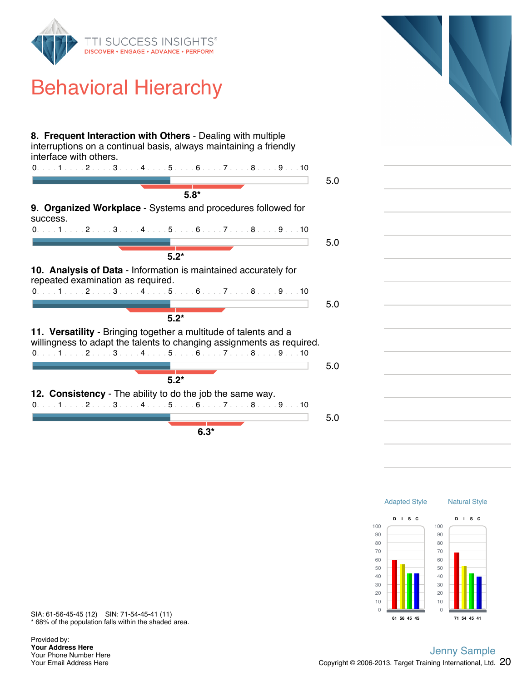

# Behavioral Hierarchy

| 8. Frequent Interaction with Others - Dealing with multiple<br>interruptions on a continual basis, always maintaining a friendly<br>interface with others.<br>$0.1.1.1.1.2.1.13.1.14.1.1.5.1.16.1.17.1.18.1.19.1.10$ |     |  |
|----------------------------------------------------------------------------------------------------------------------------------------------------------------------------------------------------------------------|-----|--|
| $5.8*$                                                                                                                                                                                                               | 5.0 |  |
| 9. Organized Workplace - Systems and procedures followed for<br>success.<br>$0.1.1.1.1.2.1.13.1.14.1.15.1.16.1.17.1.18.1.19.1.10$                                                                                    |     |  |
| $5.2*$                                                                                                                                                                                                               | 5.0 |  |
| 10. Analysis of Data - Information is maintained accurately for<br>repeated examination as required.<br>$0.1.1.1.1.2.1.13.1.14.1.15.1.16.1.17.1.18.1.19.1.10$<br>$5.2*$                                              | 5.0 |  |
| 11. Versatility - Bringing together a multitude of talents and a<br>willingness to adapt the talents to changing assignments as required.<br>$0.1.1.1.1.2.1.13.1.14.1.15.1.16.1.17.1.18.1.19.1.10$<br>$5.2*$         | 5.0 |  |
| 12. Consistency - The ability to do the job the same way.<br>$0.1.1.1.1.2.1.13.1.14.1.15.1.16.1.17.1.18.1.19.1.10$<br>$6.3*$                                                                                         | 5.0 |  |



\* 68% of the population falls within the shaded area. SIA: 61-56-45-45 (12) SIN: 71-54-45-41 (11)

Provided by: **Your Address Here** Your Phone Number Here Your Email Address Here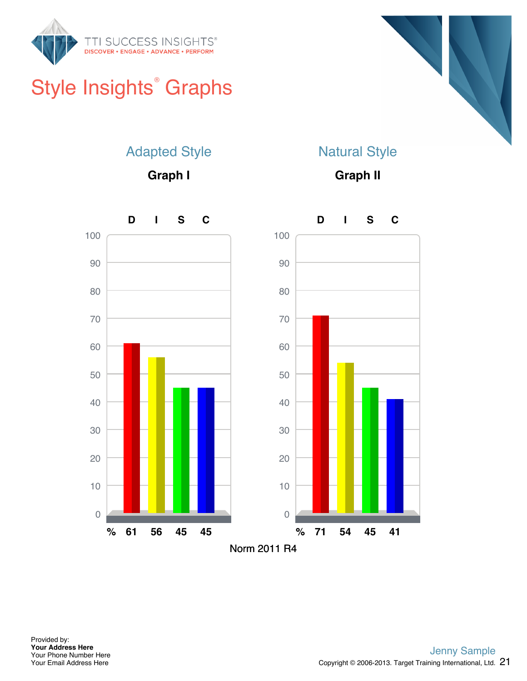

# Style Insights<sup>®</sup> Graphs



### Adapted Style

**Graph I**

### Natural Style

**Graph II**

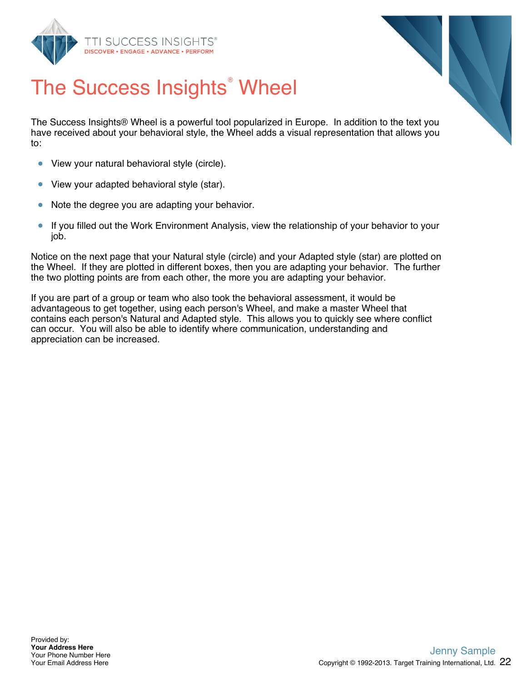



# The Success Insights<sup>®</sup> Wheel

The Success Insights® Wheel is a powerful tool popularized in Europe. In addition to the text you have received about your behavioral style, the Wheel adds a visual representation that allows you to:

- View your natural behavioral style (circle).  $\bullet$
- $\bullet$ View your adapted behavioral style (star).
- Note the degree you are adapting your behavior.  $\bullet$
- $\bullet$ If you filled out the Work Environment Analysis, view the relationship of your behavior to your job.

Notice on the next page that your Natural style (circle) and your Adapted style (star) are plotted on the Wheel. If they are plotted in different boxes, then you are adapting your behavior. The further the two plotting points are from each other, the more you are adapting your behavior.

If you are part of a group or team who also took the behavioral assessment, it would be advantageous to get together, using each person's Wheel, and make a master Wheel that contains each person's Natural and Adapted style. This allows you to quickly see where conflict can occur. You will also be able to identify where communication, understanding and appreciation can be increased.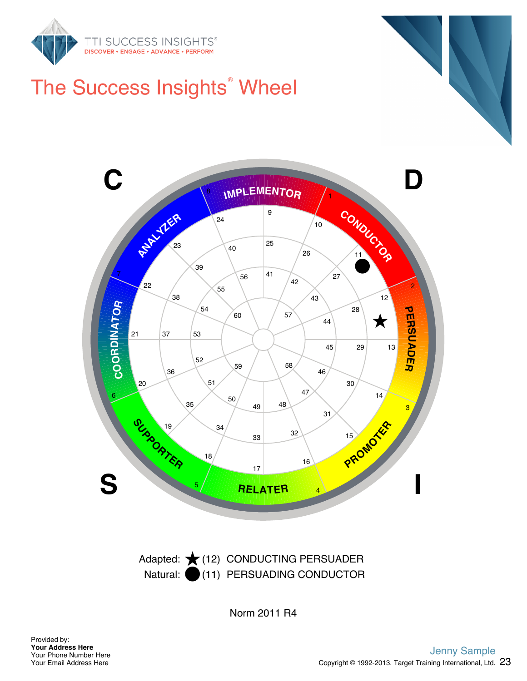

# The Success Insights<sup>®</sup> Wheel



Natural: (11) PERSUADING CONDUCTOR Adapted: ★(12) CONDUCTING PERSUADER

Norm 2011 R4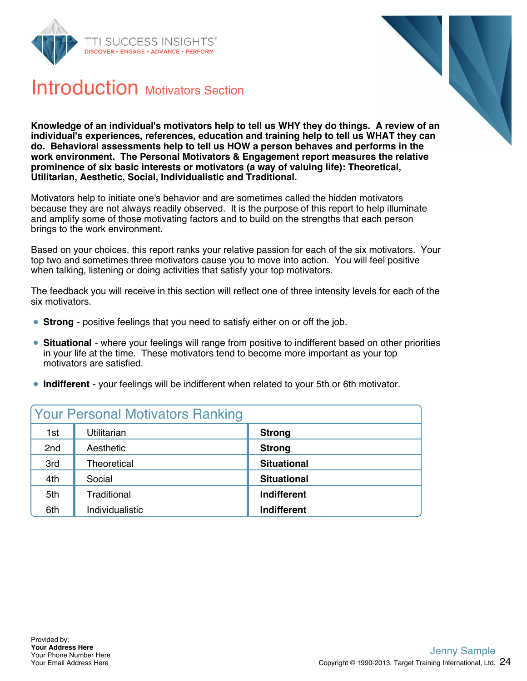



### Introduction Motivators Section

**Knowledge of an individual's motivators help to tell us WHY they do things. A review of an individual's experiences, references, education and training help to tell us WHAT they can do. Behavioral assessments help to tell us HOW a person behaves and performs in the work environment. The Personal Motivators & Engagement report measures the relative prominence of six basic interests or motivators (a way of valuing life): Theoretical, Utilitarian, Aesthetic, Social, Individualistic and Traditional.**

Motivators help to initiate one's behavior and are sometimes called the hidden motivators because they are not always readily observed. It is the purpose of this report to help illuminate and amplify some of those motivating factors and to build on the strengths that each person brings to the work environment.

Based on your choices, this report ranks your relative passion for each of the six motivators. Your top two and sometimes three motivators cause you to move into action. You will feel positive when talking, listening or doing activities that satisfy your top motivators.

The feedback you will receive in this section will reflect one of three intensity levels for each of the six motivators.

- **Strong** positive feelings that you need to satisfy either on or off the job.
- **Situational** where your feelings will range from positive to indifferent based on other priorities in your life at the time. These motivators tend to become more important as your top motivators are satisfied.
- **Indifferent** your feelings will be indifferent when related to your 5th or 6th motivator.

| <b>Your Personal Motivators Ranking</b> |                 |                    |
|-----------------------------------------|-----------------|--------------------|
| 1st                                     | Utilitarian     | <b>Strong</b>      |
| 2nd                                     | Aesthetic       | <b>Strong</b>      |
| 3rd                                     | Theoretical     | <b>Situational</b> |
| 4th                                     | Social          | <b>Situational</b> |
| 5th                                     | Traditional     | Indifferent        |
| 6th                                     | Individualistic | <b>Indifferent</b> |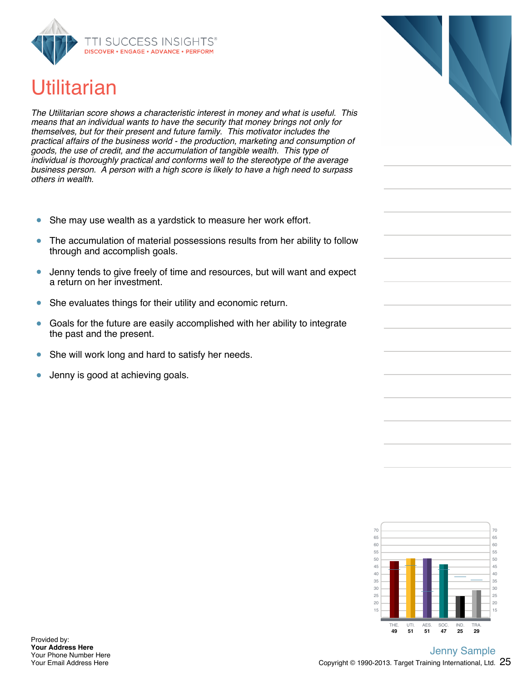

# **Utilitarian**

*The Utilitarian score shows a characteristic interest in money and what is useful. This means that an individual wants to have the security that money brings not only for themselves, but for their present and future family. This motivator includes the practical affairs of the business world - the production, marketing and consumption of goods, the use of credit, and the accumulation of tangible wealth. This type of individual is thoroughly practical and conforms well to the stereotype of the average business person. A person with a high score is likely to have a high need to surpass others in wealth.*

- She may use wealth as a yardstick to measure her work effort.  $\bullet$
- $\bullet$ The accumulation of material possessions results from her ability to follow through and accomplish goals.
- Jenny tends to give freely of time and resources, but will want and expect  $\bullet$ a return on her investment.
- She evaluates things for their utility and economic return.  $\bullet$
- Goals for the future are easily accomplished with her ability to integrate  $\bullet$ the past and the present.
- She will work long and hard to satisfy her needs.  $\bullet$
- Jenny is good at achieving goals.  $\bullet$

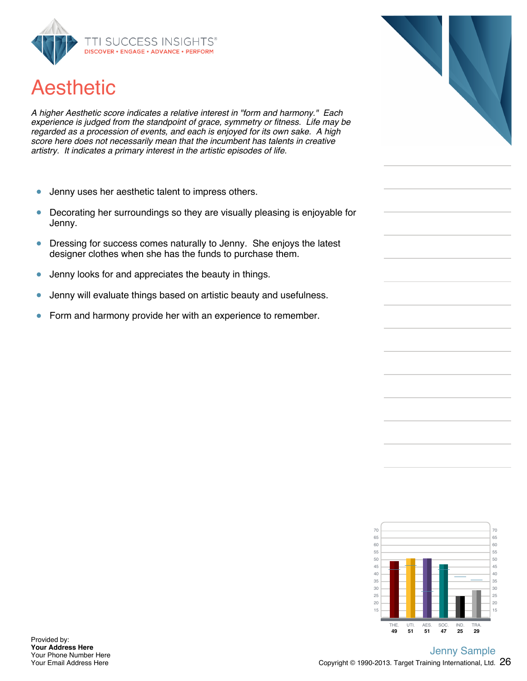

# Aesthetic

*A higher Aesthetic score indicates a relative interest in "form and harmony." Each experience is judged from the standpoint of grace, symmetry or fitness. Life may be regarded as a procession of events, and each is enjoyed for its own sake. A high score here does not necessarily mean that the incumbent has talents in creative artistry. It indicates a primary interest in the artistic episodes of life.*

- Jenny uses her aesthetic talent to impress others.  $\bullet$
- Decorating her surroundings so they are visually pleasing is enjoyable for  $\bullet$ Jenny.
- $\bullet$ Dressing for success comes naturally to Jenny. She enjoys the latest designer clothes when she has the funds to purchase them.
- $\bullet$ Jenny looks for and appreciates the beauty in things.
- Jenny will evaluate things based on artistic beauty and usefulness.  $\bullet$
- Form and harmony provide her with an experience to remember.  $\bullet$



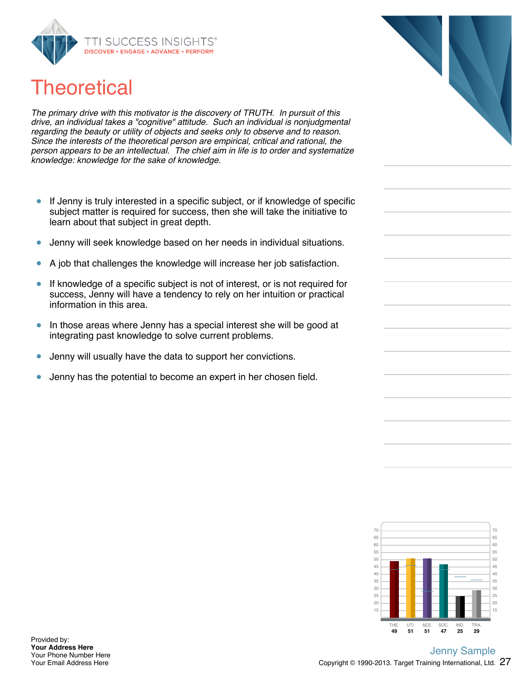

# **Theoretical**

*The primary drive with this motivator is the discovery of TRUTH. In pursuit of this drive, an individual takes a "cognitive" attitude. Such an individual is nonjudgmental regarding the beauty or utility of objects and seeks only to observe and to reason. Since the interests of the theoretical person are empirical, critical and rational, the person appears to be an intellectual. The chief aim in life is to order and systematize knowledge: knowledge for the sake of knowledge.*

- If Jenny is truly interested in a specific subject, or if knowledge of specific  $\bullet$ subject matter is required for success, then she will take the initiative to learn about that subject in great depth.
- Jenny will seek knowledge based on her needs in individual situations.  $\bullet$
- A job that challenges the knowledge will increase her job satisfaction.
- If knowledge of a specific subject is not of interest, or is not required for  $\bullet$ success, Jenny will have a tendency to rely on her intuition or practical information in this area.
- In those areas where Jenny has a special interest she will be good at  $\bullet$ integrating past knowledge to solve current problems.
- $\bullet$ Jenny will usually have the data to support her convictions.
- $\bullet$ Jenny has the potential to become an expert in her chosen field.

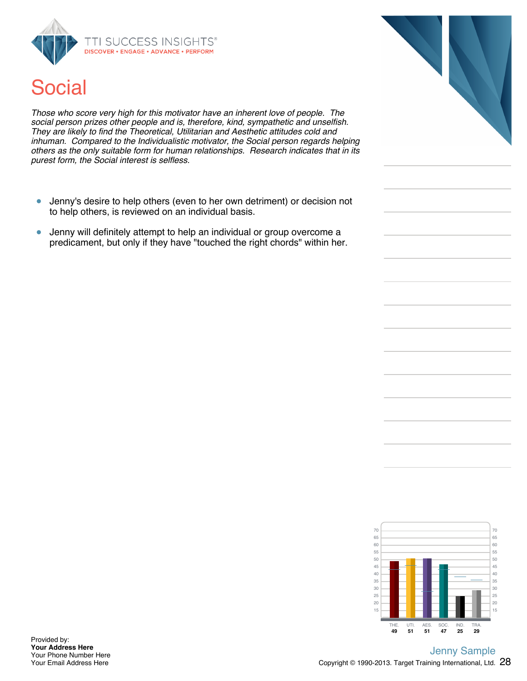



*Those who score very high for this motivator have an inherent love of people. The social person prizes other people and is, therefore, kind, sympathetic and unselfish. They are likely to find the Theoretical, Utilitarian and Aesthetic attitudes cold and inhuman. Compared to the Individualistic motivator, the Social person regards helping others as the only suitable form for human relationships. Research indicates that in its purest form, the Social interest is selfless.*

- Jenny's desire to help others (even to her own detriment) or decision not  $\bullet$ to help others, is reviewed on an individual basis.
- Jenny will definitely attempt to help an individual or group overcome a  $\bullet$ predicament, but only if they have "touched the right chords" within her.



Provided by: **Your Address Here** Your Phone Number Here Your Email Address Here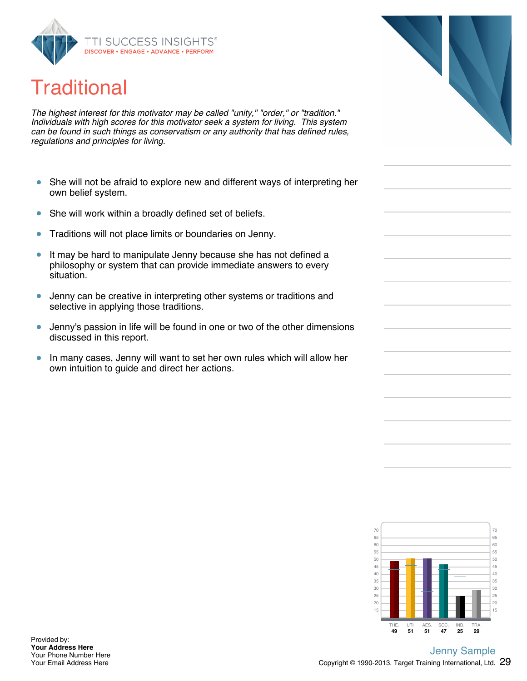

# **Traditional**

*The highest interest for this motivator may be called "unity," "order," or "tradition." Individuals with high scores for this motivator seek a system for living. This system can be found in such things as conservatism or any authority that has defined rules, regulations and principles for living.*

- She will not be afraid to explore new and different ways of interpreting her  $\bullet$ own belief system.
- $\bullet$ She will work within a broadly defined set of beliefs.
- $\bullet$ Traditions will not place limits or boundaries on Jenny.
- It may be hard to manipulate Jenny because she has not defined a  $\bullet$ philosophy or system that can provide immediate answers to every situation.
- Jenny can be creative in interpreting other systems or traditions and  $\bullet$ selective in applying those traditions.
- Jenny's passion in life will be found in one or two of the other dimensions  $\bullet$ discussed in this report.
- $\bullet$ In many cases, Jenny will want to set her own rules which will allow her own intuition to guide and direct her actions.



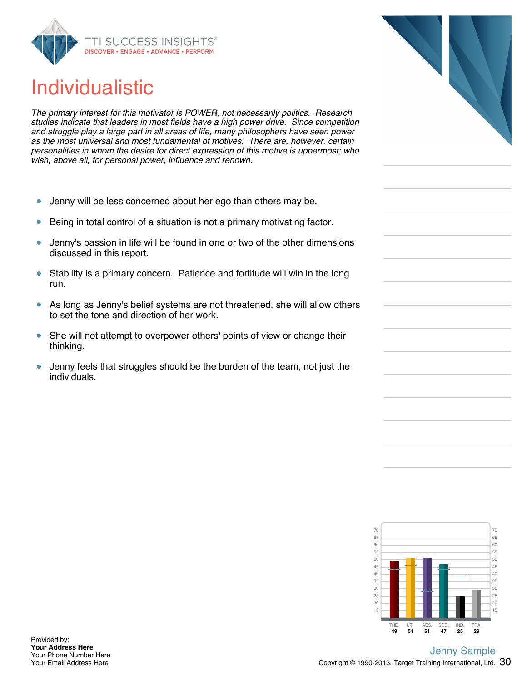

# Individualistic

*The primary interest for this motivator is POWER, not necessarily politics. Research studies indicate that leaders in most fields have a high power drive. Since competition and struggle play a large part in all areas of life, many philosophers have seen power as the most universal and most fundamental of motives. There are, however, certain personalities in whom the desire for direct expression of this motive is uppermost; who wish, above all, for personal power, influence and renown.*

- Jenny will be less concerned about her ego than others may be.  $\bullet$
- Being in total control of a situation is not a primary motivating factor.  $\bullet$
- Jenny's passion in life will be found in one or two of the other dimensions  $\bullet$ discussed in this report.
- $\bullet$ Stability is a primary concern. Patience and fortitude will win in the long run.
- $\bullet$ As long as Jenny's belief systems are not threatened, she will allow others to set the tone and direction of her work.
- $\bullet$ She will not attempt to overpower others' points of view or change their thinking.
- $\bullet$ Jenny feels that struggles should be the burden of the team, not just the individuals.



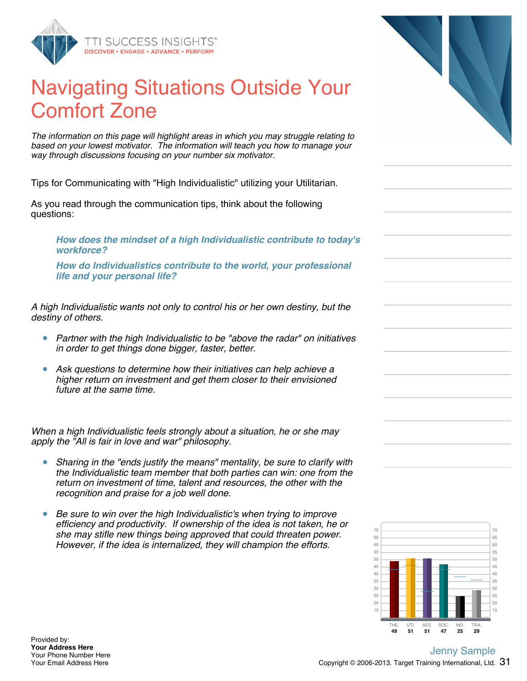

# Navigating Situations Outside Your Comfort Zone

*The information on this page will highlight areas in which you may struggle relating to based on your lowest motivator. The information will teach you how to manage your way through discussions focusing on your number six motivator.*

Tips for Communicating with "High Individualistic" utilizing your Utilitarian.

As you read through the communication tips, think about the following questions:

*How does the mindset of a high Individualistic contribute to today's workforce?*

*How do Individualistics contribute to the world, your professional life and your personal life?*

*A high Individualistic wants not only to control his or her own destiny, but the destiny of others.*

- *Partner with the high Individualistic to be "above the radar" on initiatives in order to get things done bigger, faster, better.*
- *Ask questions to determine how their initiatives can help achieve a higher return on investment and get them closer to their envisioned future at the same time.*

*When a high Individualistic feels strongly about a situation, he or she may apply the "All is fair in love and war" philosophy.*

- *Sharing in the "ends justify the means" mentality, be sure to clarify with the Individualistic team member that both parties can win: one from the return on investment of time, talent and resources, the other with the recognition and praise for a job well done.*
- *Be sure to win over the high Individualistic's when trying to improve efficiency and productivity. If ownership of the idea is not taken, he or she may stifle new things being approved that could threaten power. However, if the idea is internalized, they will champion the efforts.*





Provided by: **Your Address Here** Your Phone Number Here Your Email Address Here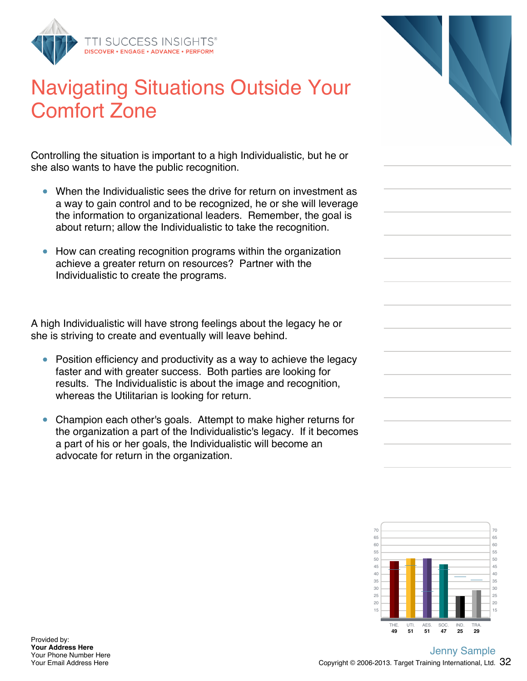

# Navigating Situations Outside Your Comfort Zone

Controlling the situation is important to a high Individualistic, but he or she also wants to have the public recognition.

- When the Individualistic sees the drive for return on investment as a way to gain control and to be recognized, he or she will leverage the information to organizational leaders. Remember, the goal is about return; allow the Individualistic to take the recognition.
- How can creating recognition programs within the organization achieve a greater return on resources? Partner with the Individualistic to create the programs.

A high Individualistic will have strong feelings about the legacy he or she is striving to create and eventually will leave behind.

- Position efficiency and productivity as a way to achieve the legacy faster and with greater success. Both parties are looking for results. The Individualistic is about the image and recognition, whereas the Utilitarian is looking for return.
- Champion each other's goals. Attempt to make higher returns for the organization a part of the Individualistic's legacy. If it becomes a part of his or her goals, the Individualistic will become an advocate for return in the organization.

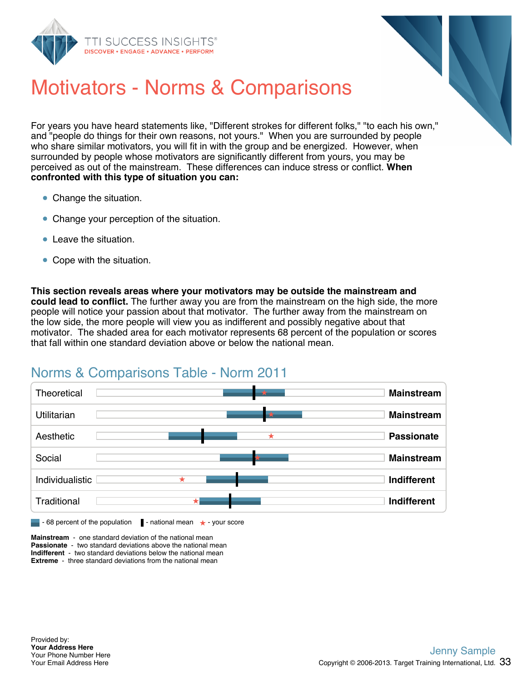



# Motivators - Norms & Comparisons

For years you have heard statements like, "Different strokes for different folks," "to each his own," and "people do things for their own reasons, not yours." When you are surrounded by people who share similar motivators, you will fit in with the group and be energized. However, when surrounded by people whose motivators are significantly different from yours, you may be perceived as out of the mainstream. These differences can induce stress or conflict. **When confronted with this type of situation you can:**

- Change the situation.
- Change your perception of the situation.
- **Leave the situation**
- Cope with the situation.

**This section reveals areas where your motivators may be outside the mainstream and could lead to conflict.** The further away you are from the mainstream on the high side, the more people will notice your passion about that motivator. The further away from the mainstream on the low side, the more people will view you as indifferent and possibly negative about that motivator. The shaded area for each motivator represents 68 percent of the population or scores that fall within one standard deviation above or below the national mean.

### Norms & Comparisons Table - Norm 2011



**Mainstream** - one standard deviation of the national mean **Passionate** - two standard deviations above the national mean **Indifferent** - two standard deviations below the national mean **Extreme** - three standard deviations from the national mean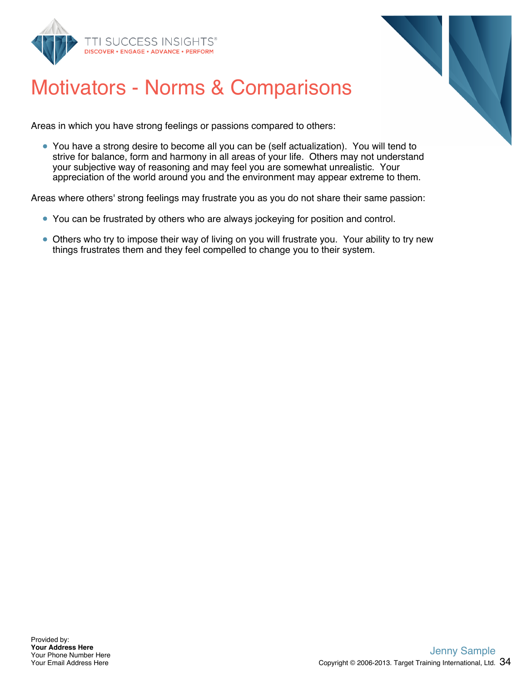



# Motivators - Norms & Comparisons

Areas in which you have strong feelings or passions compared to others:

You have a strong desire to become all you can be (self actualization). You will tend to strive for balance, form and harmony in all areas of your life. Others may not understand your subjective way of reasoning and may feel you are somewhat unrealistic. Your appreciation of the world around you and the environment may appear extreme to them.

Areas where others' strong feelings may frustrate you as you do not share their same passion:

- You can be frustrated by others who are always jockeying for position and control.
- Others who try to impose their way of living on you will frustrate you. Your ability to try new things frustrates them and they feel compelled to change you to their system.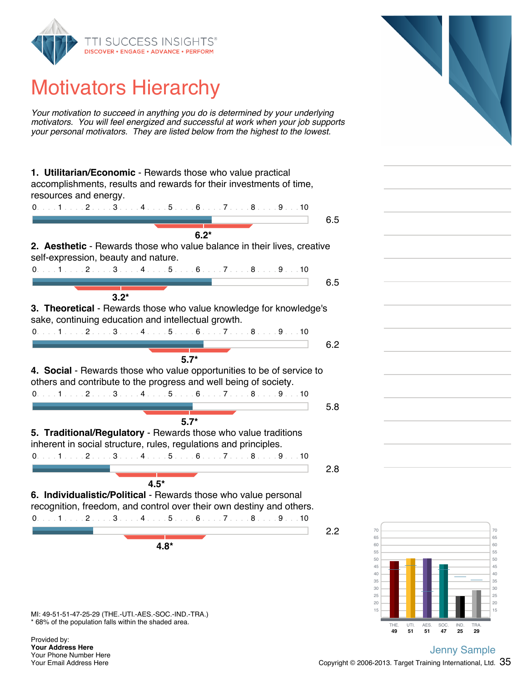

# Motivators Hierarchy

*Your motivation to succeed in anything you do is determined by your underlying motivators. You will feel energized and successful at work when your job supports your personal motivators. They are listed below from the highest to the lowest.*



\* 68% of the population falls within the shaded area.

Provided by: **Your Address Here** Your Phone Number Here Your Email Address Here

**49 51 51 47 25 29** THE. UTI. AES. SOC. IND. TRA.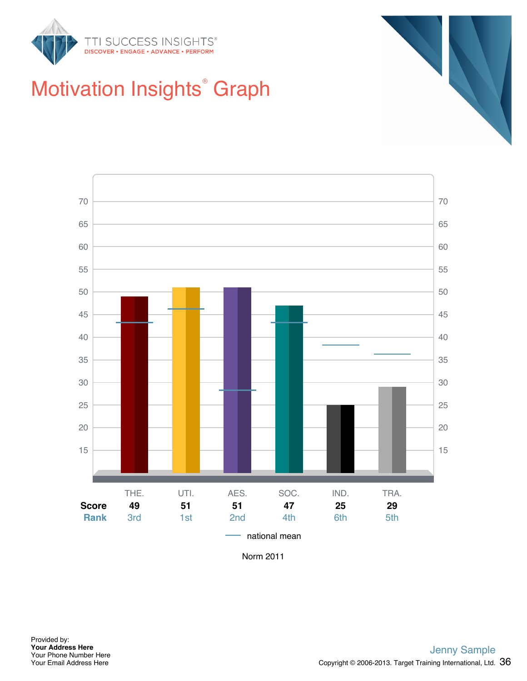



# Motivation Insights<sup>®</sup> Graph



Norm 2011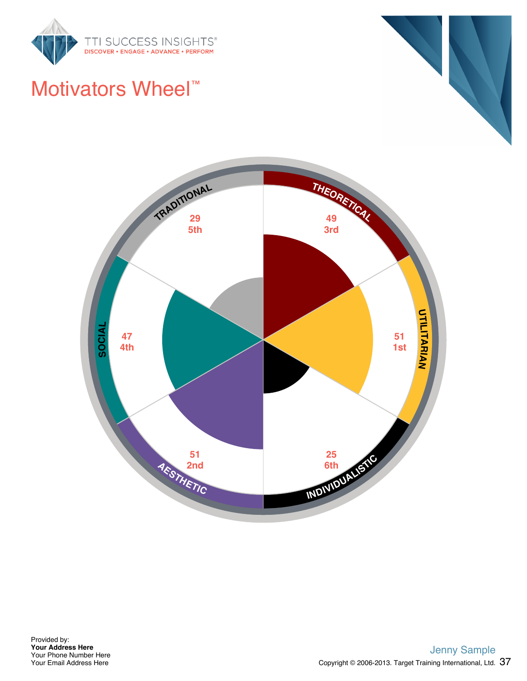

#### Motivators Wheel™



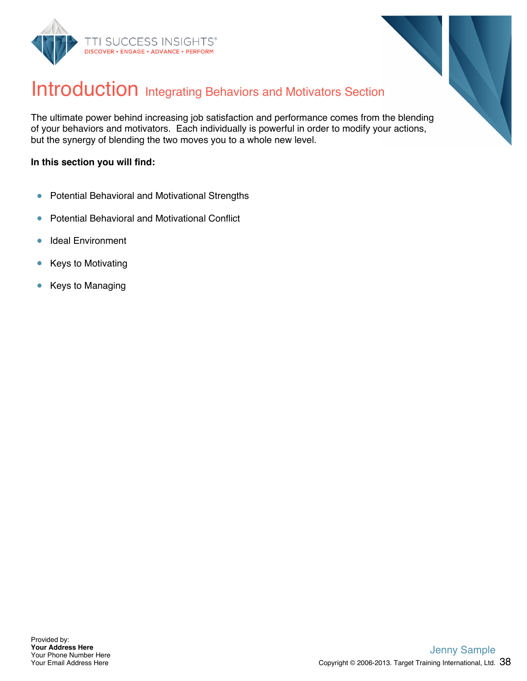



#### Introduction Integrating Behaviors and Motivators Section

The ultimate power behind increasing job satisfaction and performance comes from the blending of your behaviors and motivators. Each individually is powerful in order to modify your actions, but the synergy of blending the two moves you to a whole new level.

#### **In this section you will find:**

- Potential Behavioral and Motivational Strengths  $\bullet$
- Potential Behavioral and Motivational Conflict  $\bullet$
- Ideal Environment  $\bullet$
- $\bullet$ Keys to Motivating
- Keys to Managing  $\bullet$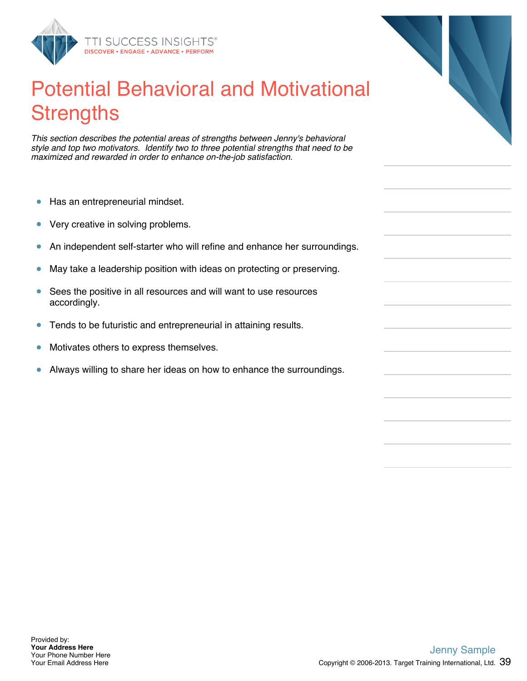

### Potential Behavioral and Motivational **Strengths**

*This section describes the potential areas of strengths between Jenny's behavioral style and top two motivators. Identify two to three potential strengths that need to be maximized and rewarded in order to enhance on-the-job satisfaction.*

- $\bullet$ Has an entrepreneurial mindset.
- $\bullet$ Very creative in solving problems.
- An independent self-starter who will refine and enhance her surroundings.  $\bullet$
- May take a leadership position with ideas on protecting or preserving.  $\bullet$
- Sees the positive in all resources and will want to use resources  $\bullet$ accordingly.
- $\bullet$ Tends to be futuristic and entrepreneurial in attaining results.
- Motivates others to express themselves.  $\bullet$
- Always willing to share her ideas on how to enhance the surroundings.  $\bullet$

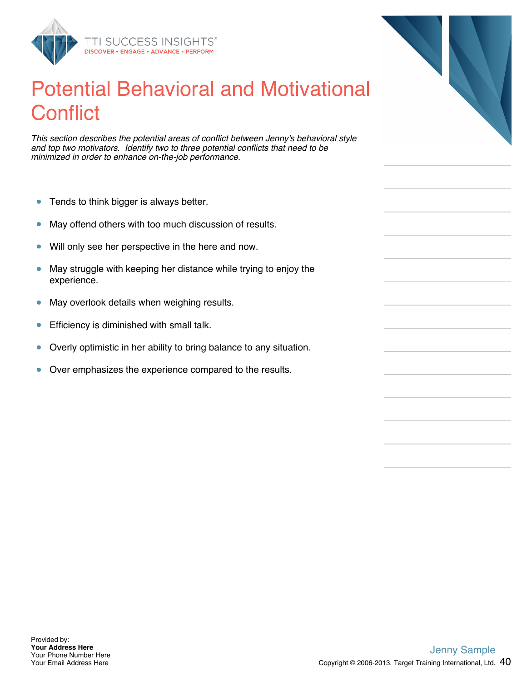

#### Potential Behavioral and Motivational **Conflict**

*This section describes the potential areas of conflict between Jenny's behavioral style and top two motivators. Identify two to three potential conflicts that need to be minimized in order to enhance on-the-job performance.*

- $\bullet$ Tends to think bigger is always better.
- $\bullet$ May offend others with too much discussion of results.
- Will only see her perspective in the here and now.  $\bullet$
- May struggle with keeping her distance while trying to enjoy the  $\bullet$ experience.
- $\bullet$ May overlook details when weighing results.
- Efficiency is diminished with small talk.  $\bullet$
- Overly optimistic in her ability to bring balance to any situation.  $\bullet$
- Over emphasizes the experience compared to the results.  $\bullet$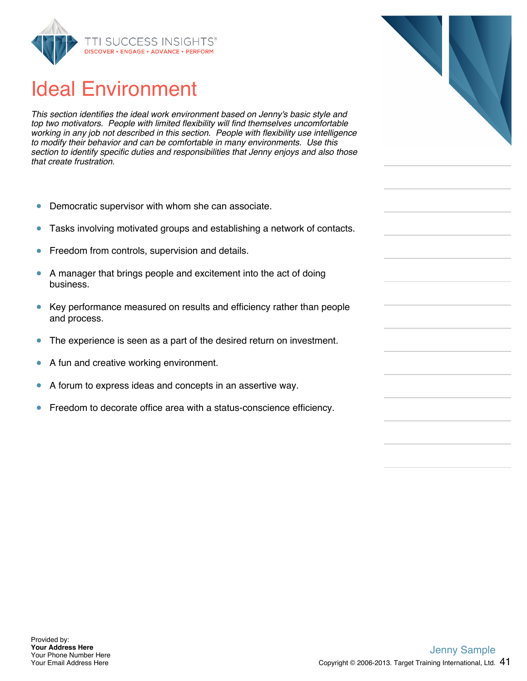

#### Ideal Environment

*This section identifies the ideal work environment based on Jenny's basic style and top two motivators. People with limited flexibility will find themselves uncomfortable working in any job not described in this section. People with flexibility use intelligence to modify their behavior and can be comfortable in many environments. Use this section to identify specific duties and responsibilities that Jenny enjoys and also those that create frustration.*

- $\bullet$ Democratic supervisor with whom she can associate.
- Tasks involving motivated groups and establishing a network of contacts.  $\bullet$
- Freedom from controls, supervision and details.  $\bullet$
- $\bullet$ A manager that brings people and excitement into the act of doing business.
- $\bullet$ Key performance measured on results and efficiency rather than people and process.
- $\bullet$ The experience is seen as a part of the desired return on investment.
- $\bullet$ A fun and creative working environment.
- A forum to express ideas and concepts in an assertive way.  $\bullet$
- Freedom to decorate office area with a status-conscience efficiency.  $\bullet$

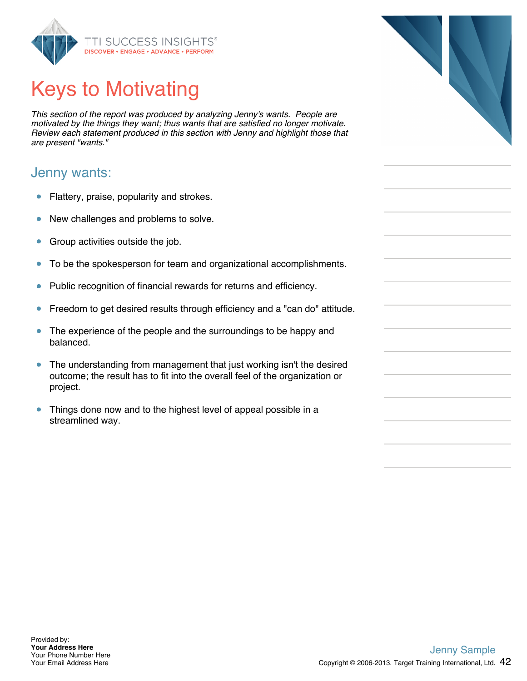

# Keys to Motivating

*This section of the report was produced by analyzing Jenny's wants. People are motivated by the things they want; thus wants that are satisfied no longer motivate. Review each statement produced in this section with Jenny and highlight those that are present "wants."*

#### Jenny wants:

- $\bullet$ Flattery, praise, popularity and strokes.
- $\bullet$ New challenges and problems to solve.
- Group activities outside the job.  $\bullet$
- $\bullet$ To be the spokesperson for team and organizational accomplishments.
- Public recognition of financial rewards for returns and efficiency.  $\bullet$
- Freedom to get desired results through efficiency and a "can do" attitude.  $\bullet$
- The experience of the people and the surroundings to be happy and  $\bullet$ balanced.
- $\bullet$ The understanding from management that just working isn't the desired outcome; the result has to fit into the overall feel of the organization or project.
- $\bullet$ Things done now and to the highest level of appeal possible in a streamlined way.

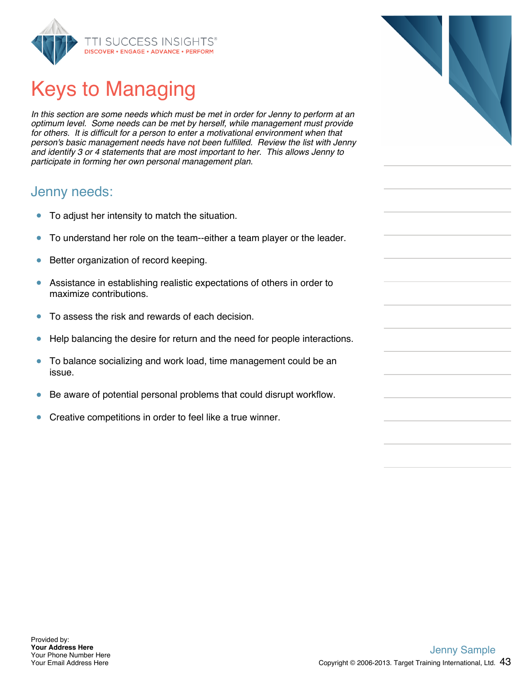

# Keys to Managing

*In this section are some needs which must be met in order for Jenny to perform at an optimum level. Some needs can be met by herself, while management must provide for others. It is difficult for a person to enter a motivational environment when that person's basic management needs have not been fulfilled. Review the list with Jenny and identify 3 or 4 statements that are most important to her. This allows Jenny to participate in forming her own personal management plan.*

#### Jenny needs:

- To adjust her intensity to match the situation.  $\bullet$
- To understand her role on the team--either a team player or the leader.  $\bullet$
- Better organization of record keeping.  $\bullet$
- $\bullet$ Assistance in establishing realistic expectations of others in order to maximize contributions.
- To assess the risk and rewards of each decision.  $\bullet$
- $\bullet$ Help balancing the desire for return and the need for people interactions.
- $\bullet$ To balance socializing and work load, time management could be an issue.
- Be aware of potential personal problems that could disrupt workflow.
- Creative competitions in order to feel like a true winner.  $\bullet$

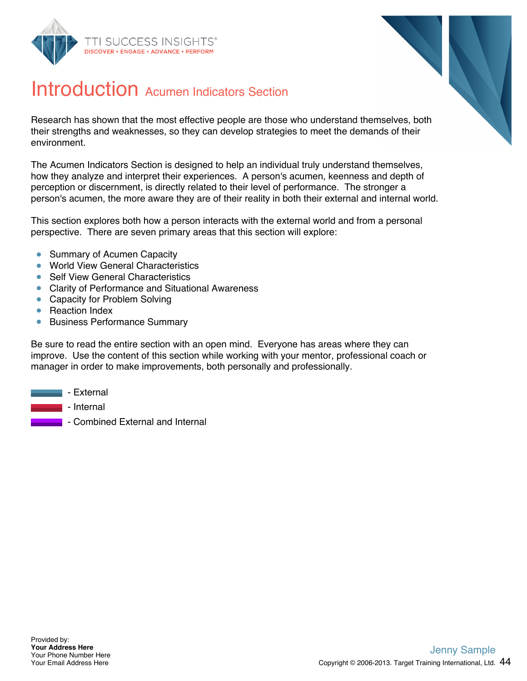



#### Introduction Acumen Indicators Section

Research has shown that the most effective people are those who understand themselves, both their strengths and weaknesses, so they can develop strategies to meet the demands of their environment.

The Acumen Indicators Section is designed to help an individual truly understand themselves, how they analyze and interpret their experiences. A person's acumen, keenness and depth of perception or discernment, is directly related to their level of performance. The stronger a person's acumen, the more aware they are of their reality in both their external and internal world.

This section explores both how a person interacts with the external world and from a personal perspective. There are seven primary areas that this section will explore:

- Summary of Acumen Capacity  $\bullet$
- World View General Characteristics  $\bullet$
- Self View General Characteristics
- Clarity of Performance and Situational Awareness
- Capacity for Problem Solving
- Reaction Index
- **Business Performance Summary**

Be sure to read the entire section with an open mind. Everyone has areas where they can improve. Use the content of this section while working with your mentor, professional coach or manager in order to make improvements, both personally and professionally.

- External
	- Internal
		- Combined External and Internal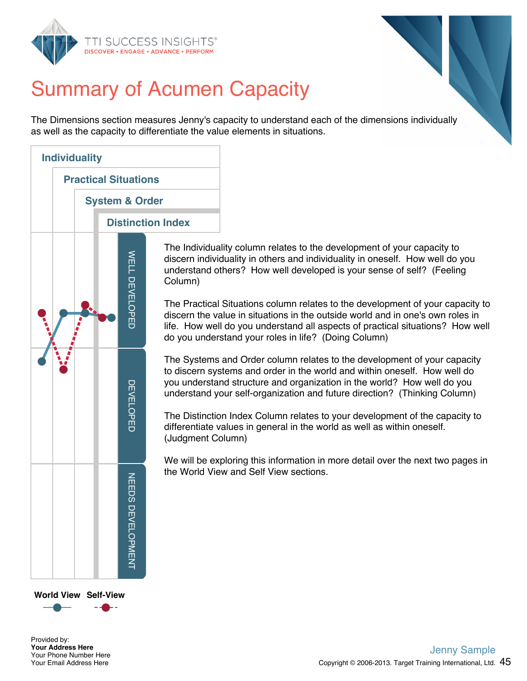



# Summary of Acumen Capacity

The Dimensions section measures Jenny's capacity to understand each of the dimensions individually as well as the capacity to differentiate the value elements in situations.



The Individuality column relates to the development of your capacity to discern individuality in others and individuality in oneself. How well do you understand others? How well developed is your sense of self? (Feeling Column)

The Practical Situations column relates to the development of your capacity to discern the value in situations in the outside world and in one's own roles in life. How well do you understand all aspects of practical situations? How well do you understand your roles in life? (Doing Column)

The Systems and Order column relates to the development of your capacity to discern systems and order in the world and within oneself. How well do you understand structure and organization in the world? How well do you understand your self-organization and future direction? (Thinking Column)

The Distinction Index Column relates to your development of the capacity to differentiate values in general in the world as well as within oneself. (Judgment Column)

We will be exploring this information in more detail over the next two pages in the World View and Self View sections.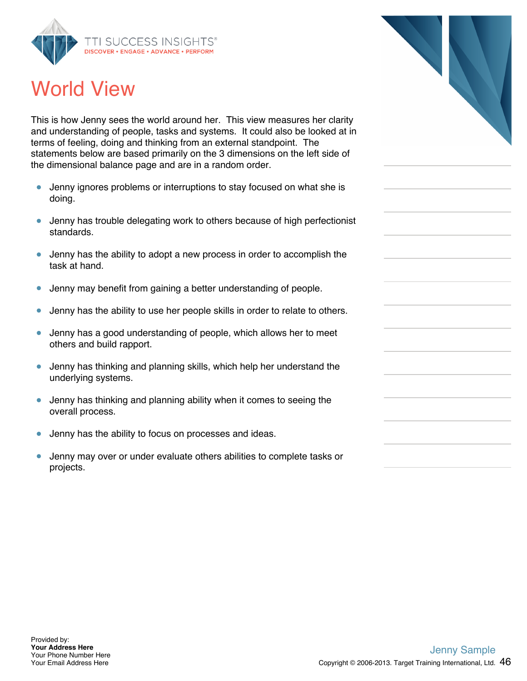

### World View

This is how Jenny sees the world around her. This view measures her clarity and understanding of people, tasks and systems. It could also be looked at in terms of feeling, doing and thinking from an external standpoint. The statements below are based primarily on the 3 dimensions on the left side of the dimensional balance page and are in a random order.

- $\bullet$ Jenny ignores problems or interruptions to stay focused on what she is doing.
- Jenny has trouble delegating work to others because of high perfectionist standards.
- Jenny has the ability to adopt a new process in order to accomplish the  $\bullet$ task at hand.
- Jenny may benefit from gaining a better understanding of people.
- $\bullet$ Jenny has the ability to use her people skills in order to relate to others.
- Jenny has a good understanding of people, which allows her to meet  $\bullet$ others and build rapport.
- Jenny has thinking and planning skills, which help her understand the underlying systems.
- Jenny has thinking and planning ability when it comes to seeing the  $\bullet$ overall process.
- $\bullet$ Jenny has the ability to focus on processes and ideas.
- $\bullet$ Jenny may over or under evaluate others abilities to complete tasks or projects.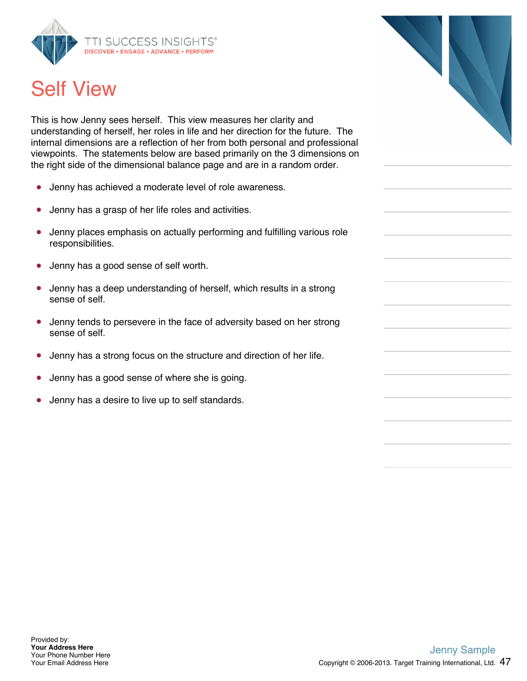

### Self View

This is how Jenny sees herself. This view measures her clarity and understanding of herself, her roles in life and her direction for the future. The internal dimensions are a reflection of her from both personal and professional viewpoints. The statements below are based primarily on the 3 dimensions on the right side of the dimensional balance page and are in a random order.

- Jenny has achieved a moderate level of role awareness.  $\bullet$
- Jenny has a grasp of her life roles and activities.  $\bullet$
- Jenny places emphasis on actually performing and fulfilling various role  $\bullet$ responsibilities.
- Jenny has a good sense of self worth.
- Jenny has a deep understanding of herself, which results in a strong  $\bullet$ sense of self.
- Jenny tends to persevere in the face of adversity based on her strong sense of self.
- Jenny has a strong focus on the structure and direction of her life.  $\bullet$
- Jenny has a good sense of where she is going.
- Jenny has a desire to live up to self standards.  $\bullet$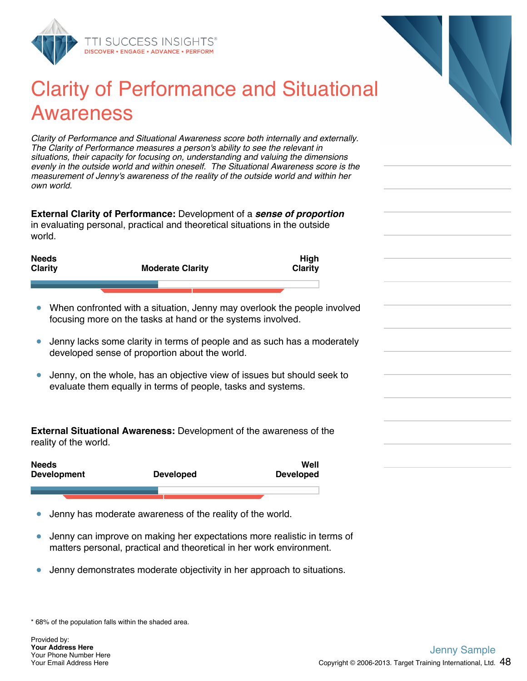

#### Clarity of Performance and Situational Awareness

*Clarity of Performance and Situational Awareness score both internally and externally. The Clarity of Performance measures a person's ability to see the relevant in situations, their capacity for focusing on, understanding and valuing the dimensions evenly in the outside world and within oneself. The Situational Awareness score is the measurement of Jenny's awareness of the reality of the outside world and within her own world.*

**External Clarity of Performance:** Development of a *sense of proportion* in evaluating personal, practical and theoretical situations in the outside world.



- When confronted with a situation, Jenny may overlook the people involved focusing more on the tasks at hand or the systems involved.
- Jenny lacks some clarity in terms of people and as such has a moderately  $\bullet$ developed sense of proportion about the world.
- Jenny, on the whole, has an objective view of issues but should seek to  $\bullet$ evaluate them equally in terms of people, tasks and systems.

**External Situational Awareness:** Development of the awareness of the reality of the world.

| <b>Needs</b><br><b>Development</b> | <b>Developed</b> | Well<br><b>Developed</b> |
|------------------------------------|------------------|--------------------------|
|                                    |                  |                          |
|                                    |                  |                          |

- Jenny has moderate awareness of the reality of the world.  $\bullet$
- Jenny can improve on making her expectations more realistic in terms of  $\bullet$ matters personal, practical and theoretical in her work environment.
- Jenny demonstrates moderate objectivity in her approach to situations.  $\bullet$

\* 68% of the population falls within the shaded area.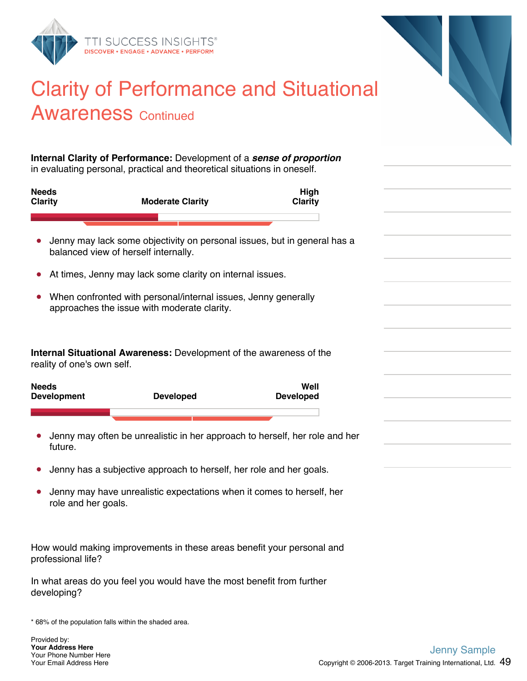

#### Clarity of Performance and Situational **Awareness Continued**

**Internal Clarity of Performance:** Development of a *sense of proportion* in evaluating personal, practical and theoretical situations in oneself.

| <b>Needs</b><br><b>Clarity</b>     | <b>Moderate Clarity</b>                                                                                          | High<br><b>Clarity</b>                                                      |  |
|------------------------------------|------------------------------------------------------------------------------------------------------------------|-----------------------------------------------------------------------------|--|
|                                    |                                                                                                                  |                                                                             |  |
|                                    | Jenny may lack some objectivity on personal issues, but in general has a<br>balanced view of herself internally. |                                                                             |  |
| $\bullet$                          | At times, Jenny may lack some clarity on internal issues.                                                        |                                                                             |  |
|                                    | When confronted with personal/internal issues, Jenny generally<br>approaches the issue with moderate clarity.    |                                                                             |  |
| reality of one's own self.         | Internal Situational Awareness: Development of the awareness of the                                              |                                                                             |  |
| <b>Needs</b><br><b>Development</b> | <b>Developed</b>                                                                                                 | Well<br><b>Developed</b>                                                    |  |
|                                    |                                                                                                                  |                                                                             |  |
| future.                            |                                                                                                                  | Jenny may often be unrealistic in her approach to herself, her role and her |  |
|                                    | Jenny has a subjective approach to herself, her role and her goals.                                              |                                                                             |  |
| role and her goals.                | Jenny may have unrealistic expectations when it comes to herself, her                                            |                                                                             |  |
| professional life?                 | How would making improvements in these areas benefit your personal and                                           |                                                                             |  |

In what areas do you feel you would have the most benefit from further developing?

\* 68% of the population falls within the shaded area.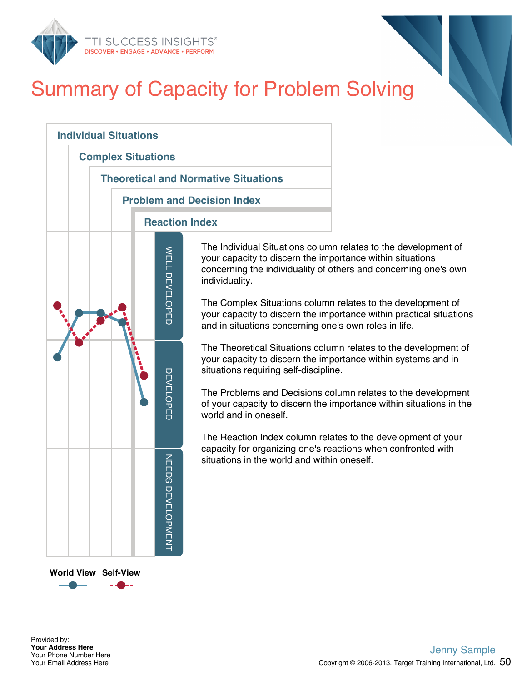

## Summary of Capacity for Problem Solving



The Individual Situations column relates to the development of your capacity to discern the importance within situations concerning the individuality of others and concerning one's own

The Complex Situations column relates to the development of your capacity to discern the importance within practical situations and in situations concerning one's own roles in life.

The Theoretical Situations column relates to the development of your capacity to discern the importance within systems and in situations requiring self-discipline.

The Problems and Decisions column relates to the development of your capacity to discern the importance within situations in the

The Reaction Index column relates to the development of your capacity for organizing one's reactions when confronted with situations in the world and within oneself.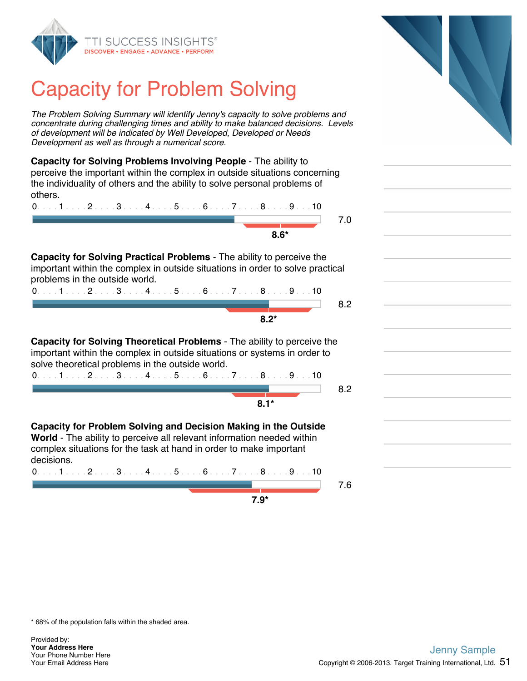

### Capacity for Problem Solving

*The Problem Solving Summary will identify Jenny's capacity to solve problems and concentrate during challenging times and ability to make balanced decisions. Levels of development will be indicated by Well Developed, Developed or Needs Development as well as through a numerical score.*

**Capacity for Solving Problems Involving People** - The ability to perceive the important within the complex in outside situations concerning the individuality of others and the ability to solve personal problems of others.

| $0. \ldots 1 \ldots 2 \ldots 3 \ldots 4 \ldots 5 \ldots 6 \ldots 7 \ldots 8 \ldots 9 \ldots 10$ |  |
|-------------------------------------------------------------------------------------------------|--|
|                                                                                                 |  |
| $R*$                                                                                            |  |

**Capacity for Solving Practical Problems** - The ability to perceive the important within the complex in outside situations in order to solve practical problems in the outside world.

| 0. 1 2 3 4 5 6 7 8 9 10 |  |
|-------------------------|--|
|                         |  |
| ደ ጋ*                    |  |

**Capacity for Solving Theoretical Problems** - The ability to perceive the important within the complex in outside situations or systems in order to solve theoretical problems in the outside world. 0. . . . 1 . . . . 2 . . . . 3 . . . . 4 . . . . 5 . . . . 6 . . . . 7 . . . . 8 . . . . 9 . . . 10

8.2

**8.1\***

**7.9\***

**Capacity for Problem Solving and Decision Making in the Outside World** - The ability to perceive all relevant information needed within complex situations for the task at hand in order to make important decisions.

0. . . . 1 . . . . 2 . . . . 3 . . . . 4 . . . . 5 . . . . 6 . . . . 7 . . . . 8 . . . . 9 . . . 10

7.6

\* 68% of the population falls within the shaded area.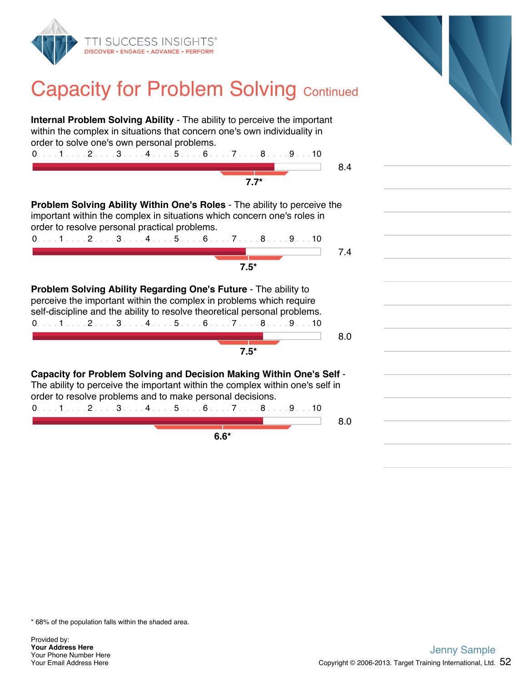

#### **Capacity for Problem Solving Continued**

**Internal Problem Solving Ability** - The ability to perceive the important within the complex in situations that concern one's own individuality in order to solve one's own personal problems. 0. . . . 1 . . . . 2 . . . . 3 . . . . 4 . . . . 5 . . . . 6 . . . . 7 . . . . 8 . . . . 9 . . . 10 8.4 **7.7\* Problem Solving Ability Within One's Roles** - The ability to perceive the important within the complex in situations which concern one's roles in order to resolve personal practical problems. 0. . . . 1 . . . . 2 . . . . 3 . . . . 4 . . . . 5 . . . . 6 . . . . 7 . . . . 8 . . . . 9 . . . 10 7.4 **7.5\* Problem Solving Ability Regarding One's Future** - The ability to perceive the important within the complex in problems which require self-discipline and the ability to resolve theoretical personal problems. 0. . . . 1 . . . . 2 . . . . 3 . . . . 4 . . . . 5 . . . . 6 . . . . 7 . . . . 8 . . . . 9 . . . 10 8.0 **7.5\* Capacity for Problem Solving and Decision Making Within One's Self** - The ability to perceive the important within the complex within one's self in order to resolve problems and to make personal decisions. 0. . . . 1 . . . . 2 . . . . 3 . . . . 4 . . . . 5 . . . . 6 . . . . 7 . . . . 8 . . . . 9 . . . 10 8.0 **6.6\***

\* 68% of the population falls within the shaded area.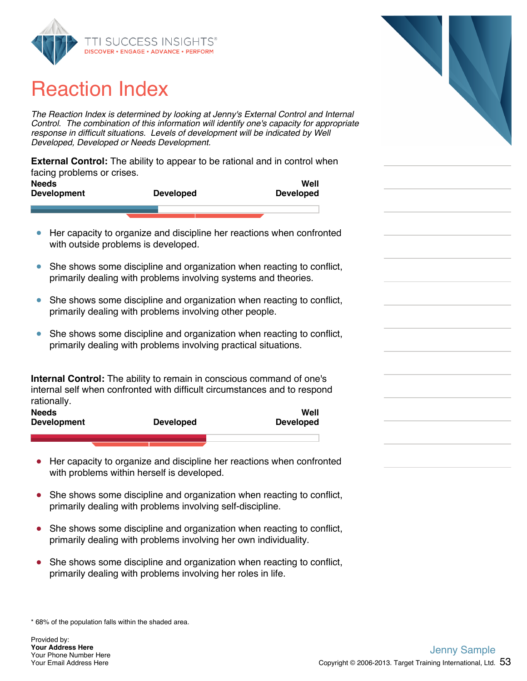

### Reaction Index

*The Reaction Index is determined by looking at Jenny's External Control and Internal Control. The combination of this information will identify one's capacity for appropriate response in difficult situations. Levels of development will be indicated by Well Developed, Developed or Needs Development.*

**External Control:** The ability to appear to be rational and in control when facing problems or crises.

| <b>Needs</b><br><b>Development</b> | <b>Developed</b> | Well<br><b>Developed</b> |  |
|------------------------------------|------------------|--------------------------|--|
|                                    |                  |                          |  |

- Her capacity to organize and discipline her reactions when confronted  $\bullet$ with outside problems is developed.
- She shows some discipline and organization when reacting to conflict,  $\bullet$ primarily dealing with problems involving systems and theories.
- She shows some discipline and organization when reacting to conflict,  $\bullet$ primarily dealing with problems involving other people.
- $\bullet$ She shows some discipline and organization when reacting to conflict, primarily dealing with problems involving practical situations.

**Internal Control:** The ability to remain in conscious command of one's internal self when confronted with difficult circumstances and to respond rationally.

| <b>Needs</b><br><b>Development</b> |  | <b>Developed</b> | Well<br><b>Developed</b> |
|------------------------------------|--|------------------|--------------------------|
|                                    |  |                  |                          |

- Her capacity to organize and discipline her reactions when confronted with problems within herself is developed.
- $\bullet$ She shows some discipline and organization when reacting to conflict, primarily dealing with problems involving self-discipline.
- She shows some discipline and organization when reacting to conflict, primarily dealing with problems involving her own individuality.
- She shows some discipline and organization when reacting to conflict,  $\bullet$ primarily dealing with problems involving her roles in life.

\* 68% of the population falls within the shaded area.

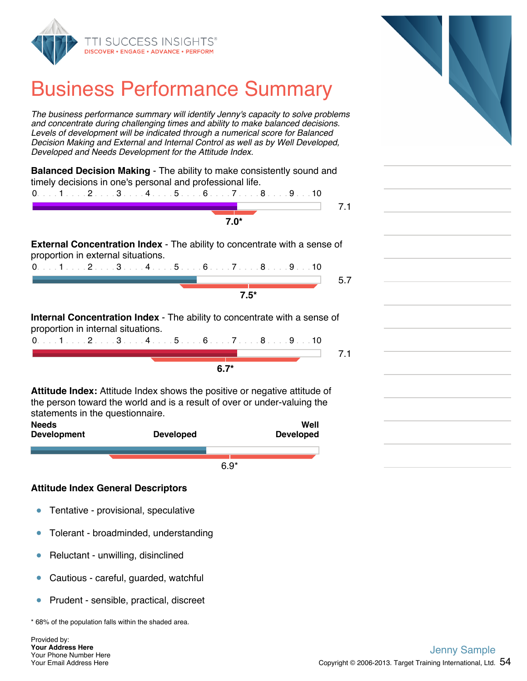

#### Business Performance Summary

*The business performance summary will identify Jenny's capacity to solve problems and concentrate during challenging times and ability to make balanced decisions. Levels of development will be indicated through a numerical score for Balanced Decision Making and External and Internal Control as well as by Well Developed, Developed and Needs Development for the Attitude Index.*

|                                    | $0.1.1.1.1.2.1.13.1.14.1.15.1.16.1.17.1.18.1.19.1.10$                            |
|------------------------------------|----------------------------------------------------------------------------------|
|                                    | 7.1                                                                              |
|                                    | $7.0*$                                                                           |
|                                    |                                                                                  |
|                                    | <b>External Concentration Index</b> - The ability to concentrate with a sense of |
| proportion in external situations. |                                                                                  |
|                                    |                                                                                  |
|                                    | $0.1.1.1.2.1.3.1.4.1.5.1.6.1.7.1.8.1.9.1.10$                                     |
|                                    | 5.7                                                                              |
|                                    |                                                                                  |
|                                    | $7.5*$                                                                           |
|                                    |                                                                                  |
|                                    | <b>Internal Concentration Index</b> - The ability to concentrate with a sense of |
|                                    |                                                                                  |
|                                    | $0.1.1.1.1.2.1.13.1.14.1.15.1.16.1.17.1.18.1.19.1.10$                            |
| proportion in internal situations. | 7.1                                                                              |

**Attitude Index:** Attitude Index shows the positive or negative attitude of the person toward the world and is a result of over or under-valuing the statements in the questionnaire.

| <b>Developed</b> |
|------------------|
|                  |
| $6.9*$           |

#### **Attitude Index General Descriptors**

- $\bullet$ Tentative - provisional, speculative
- Tolerant broadminded, understanding  $\bullet$
- Reluctant unwilling, disinclined  $\bullet$
- Cautious careful, guarded, watchful  $\bullet$
- Prudent sensible, practical, discreet  $\bullet$

\* 68% of the population falls within the shaded area.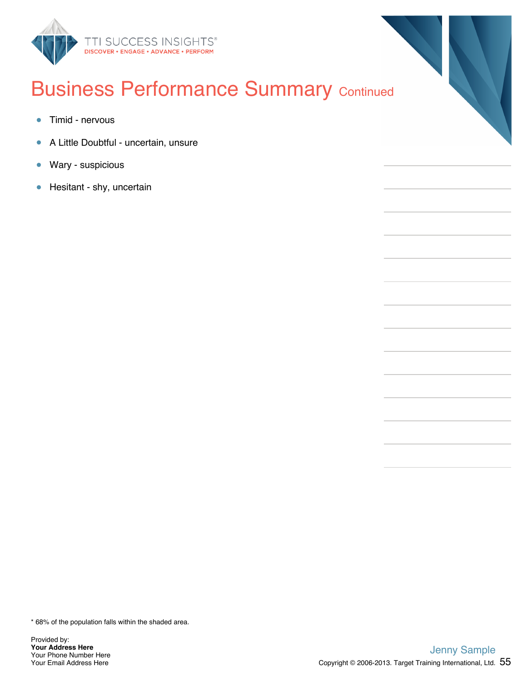

#### **Business Performance Summary Continued**

- $\bullet$ Timid - nervous
- A Little Doubtful uncertain, unsure  $\bullet$
- Wary suspicious  $\bullet$
- Hesitant shy, uncertain  $\bullet$

\* 68% of the population falls within the shaded area.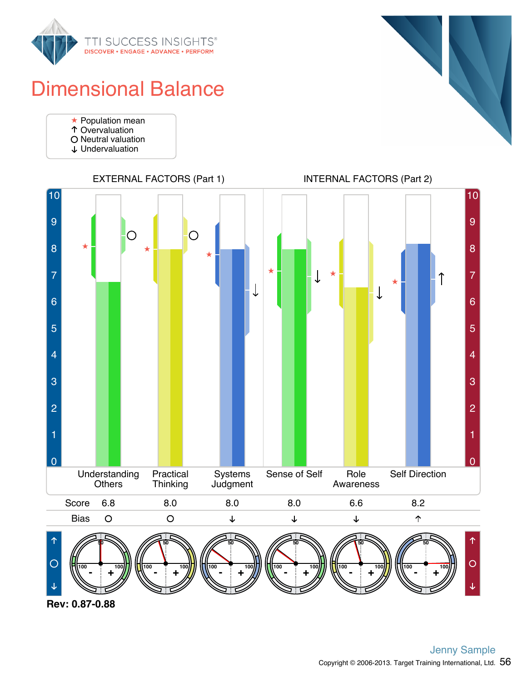

#### Dimensional Balance

- Population mean
- Overvaluation
- O Neutral valuation
- Undervaluation





**Rev: 0.87-0.88**



EXTERNAL FACTORS (Part 1) INTERNAL FACTORS (Part 2)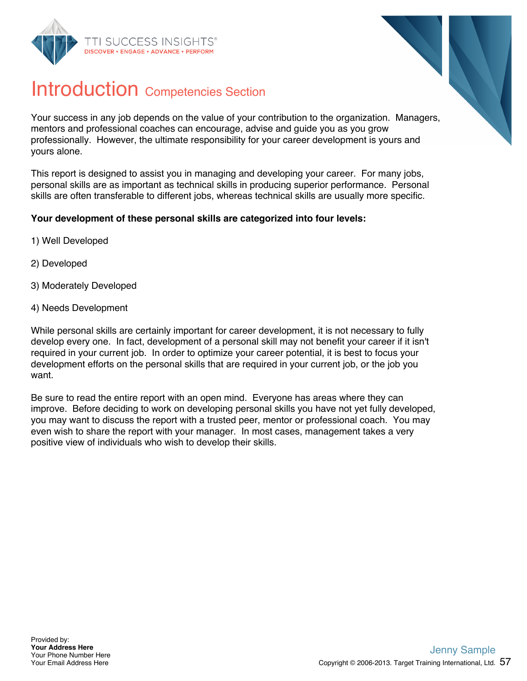



#### Introduction Competencies Section

Your success in any job depends on the value of your contribution to the organization. Managers, mentors and professional coaches can encourage, advise and guide you as you grow professionally. However, the ultimate responsibility for your career development is yours and yours alone.

This report is designed to assist you in managing and developing your career. For many jobs, personal skills are as important as technical skills in producing superior performance. Personal skills are often transferable to different jobs, whereas technical skills are usually more specific.

#### **Your development of these personal skills are categorized into four levels:**

- 1) Well Developed
- 2) Developed
- 3) Moderately Developed
- 4) Needs Development

While personal skills are certainly important for career development, it is not necessary to fully develop every one. In fact, development of a personal skill may not benefit your career if it isn't required in your current job. In order to optimize your career potential, it is best to focus your development efforts on the personal skills that are required in your current job, or the job you want.

Be sure to read the entire report with an open mind. Everyone has areas where they can improve. Before deciding to work on developing personal skills you have not yet fully developed, you may want to discuss the report with a trusted peer, mentor or professional coach. You may even wish to share the report with your manager. In most cases, management takes a very positive view of individuals who wish to develop their skills.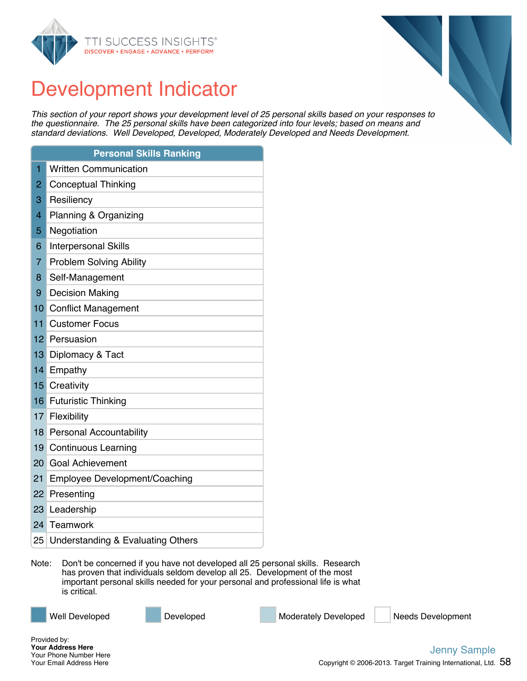



#### Development Indicator

*This section of your report shows your development level of 25 personal skills based on your responses to the questionnaire. The 25 personal skills have been categorized into four levels; based on means and standard deviations. Well Developed, Developed, Moderately Developed and Needs Development.*

|                 | <b>Personal Skills Ranking</b>               |
|-----------------|----------------------------------------------|
| $\overline{1}$  | <b>Written Communication</b>                 |
| $\overline{2}$  | <b>Conceptual Thinking</b>                   |
| 3               | Resiliency                                   |
| 4               | Planning & Organizing                        |
| 5               | Negotiation                                  |
| 6               | <b>Interpersonal Skills</b>                  |
| $\overline{7}$  | <b>Problem Solving Ability</b>               |
| 8               | Self-Management                              |
| 9               | <b>Decision Making</b>                       |
| 10              | <b>Conflict Management</b>                   |
| 11              | <b>Customer Focus</b>                        |
| 12 <sup>1</sup> | Persuasion                                   |
| 13              | Diplomacy & Tact                             |
| 14              | Empathy                                      |
| 15              | Creativity                                   |
|                 | 16 Futuristic Thinking                       |
| 17              | Flexibility                                  |
| 18              | <b>Personal Accountability</b>               |
| 19              | <b>Continuous Learning</b>                   |
| 20              | <b>Goal Achievement</b>                      |
| 21              | <b>Employee Development/Coaching</b>         |
| 22              | Presenting                                   |
| 23              | Leadership                                   |
| 24              | Teamwork                                     |
| 25              | <b>Understanding &amp; Evaluating Others</b> |

Note: Don't be concerned if you have not developed all 25 personal skills. Research has proven that individuals seldom develop all 25. Development of the most important personal skills needed for your personal and professional life is what is critical.

Well Developed **Developed** Developed Moderately Developed Needs Development

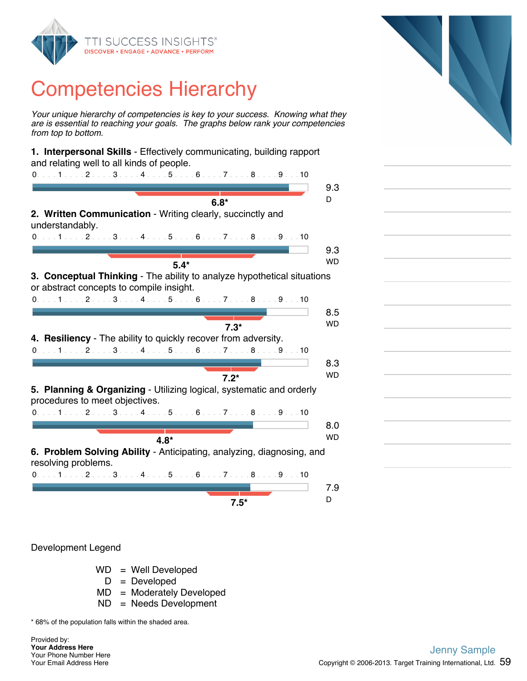

*Your unique hierarchy of competencies is key to your success. Knowing what they are is essential to reaching your goals. The graphs below rank your competencies from top to bottom.*

| 1. Interpersonal Skills - Effectively communicating, building rapport                                               |           |
|---------------------------------------------------------------------------------------------------------------------|-----------|
| and relating well to all kinds of people.<br>$0.1.1.1.1.1.2.1.1.3.1.1.4.1.1.5.1.1.6.1.1.7.1.1.8.1.1.9.1.10$         |           |
|                                                                                                                     | 9.3       |
| $6.8*$                                                                                                              | D         |
| 2. Written Communication - Writing clearly, succinctly and<br>understandably.                                       |           |
| $0.1.1.1.1.2.1.13.1.14.1.15.1.16.1.17.1.18.1.19.1.10$                                                               |           |
|                                                                                                                     | 9.3       |
| $5.4*$                                                                                                              | <b>WD</b> |
|                                                                                                                     |           |
| 3. Conceptual Thinking - The ability to analyze hypothetical situations<br>or abstract concepts to compile insight. |           |
| 0. 1 2 3 4 5 6 7 8 9 10                                                                                             |           |
|                                                                                                                     | 8.5       |
| $7.3*$                                                                                                              | <b>WD</b> |
| 4. Resiliency - The ability to quickly recover from adversity.                                                      |           |
| $0.1.1.1.1.2.1.1.3.1.1.4.1.1.5.1.1.6.1.1.7.1.1.8.1.1.9.1.10$                                                        |           |
|                                                                                                                     |           |
|                                                                                                                     | 8.3       |
| $7.2*$                                                                                                              | <b>WD</b> |
| 5. Planning & Organizing - Utilizing logical, systematic and orderly<br>procedures to meet objectives.              |           |
| $0.1.1.1.1.2.1.13.1.14.1.1.5.1.16.1.17.1.18.1.19.1.10$                                                              |           |
|                                                                                                                     | 8.0       |
|                                                                                                                     | <b>WD</b> |
| $4.8*$                                                                                                              |           |
| 6. Problem Solving Ability - Anticipating, analyzing, diagnosing, and<br>resolving problems.                        |           |
| $0.1.1.1.1.2.1.1.3.1.1.4.1.1.5.1.1.6.1.1.7.1.1.8.1.1.9.1.10$                                                        |           |
|                                                                                                                     | 7.9       |
|                                                                                                                     | D         |
| $7.5*$                                                                                                              |           |
|                                                                                                                     |           |

Development Legend

- WD = Well Developed
	- $D = Developed$
- MD = Moderately Developed
- ND = Needs Development

\* 68% of the population falls within the shaded area.

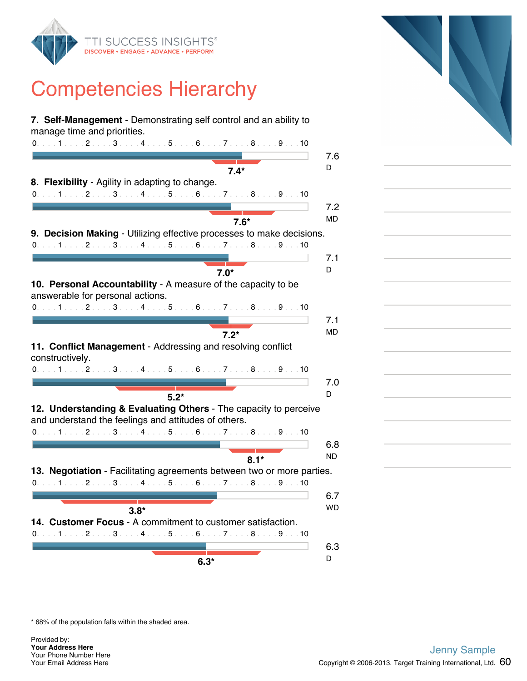

| 7. Self-Management - Demonstrating self control and an ability to<br>manage time and priorities.                         |           |
|--------------------------------------------------------------------------------------------------------------------------|-----------|
| 0. 1 2 3 4 5 6 7 8 9 10                                                                                                  |           |
|                                                                                                                          | 7.6       |
| $7.4*$                                                                                                                   | D         |
| 8. Flexibility - Agility in adapting to change.                                                                          |           |
| 0. 1 2 3 4 5 6 7 8 9 10                                                                                                  |           |
|                                                                                                                          | 7.2       |
| $7.6*$                                                                                                                   | <b>MD</b> |
| 9. Decision Making - Utilizing effective processes to make decisions.                                                    |           |
| $0.1.1.1.1.2.1.1.3.1.1.4.1.1.5.1.16.1.1.7.1.1.8.1.1.9.1.10$                                                              |           |
|                                                                                                                          | 7.1       |
| $7.0*$                                                                                                                   | D         |
| 10. Personal Accountability - A measure of the capacity to be                                                            |           |
| answerable for personal actions.                                                                                         |           |
| $0.1.1.1.1.2.1.13.1.14.1.15.1.16.1.17.1.18.1.19.1.10$                                                                    |           |
|                                                                                                                          | 7.1       |
| $7.2*$                                                                                                                   | MD        |
| 11. Conflict Management - Addressing and resolving conflict<br>constructively.                                           |           |
| $0.1.1.1.1.2.1.1.3.1.1.4.1.1.5.1.1.6.1.1.7.1.1.8.1.1.9.1.10$                                                             |           |
|                                                                                                                          | 7.0       |
| $5.2*$                                                                                                                   | D         |
| 12. Understanding & Evaluating Others - The capacity to perceive<br>and understand the feelings and attitudes of others. |           |
| $0.1.1.1.1.2.1.13.1.14.1.15.1.16.1.17.1.18.1.19.1.10$                                                                    |           |
|                                                                                                                          | 6.8       |
| $8.1*$                                                                                                                   | <b>ND</b> |
| 13. Negotiation - Facilitating agreements between two or more parties.                                                   |           |
| $0.1.1.1.1.1.2.1.1.3.1.1.4.1.1.5.1.1.6.1.1.7.1.1.8.1.1.9.1.10$                                                           |           |
|                                                                                                                          | 6.7       |
| $3.8*$                                                                                                                   | WD        |
| 14. Customer Focus - A commitment to customer satisfaction.                                                              |           |
| 0. 1 2 3 4 5 6 7 8 9 10                                                                                                  |           |
|                                                                                                                          | 6.3       |
| $6.3*$                                                                                                                   | D         |
|                                                                                                                          |           |



\* 68% of the population falls within the shaded area.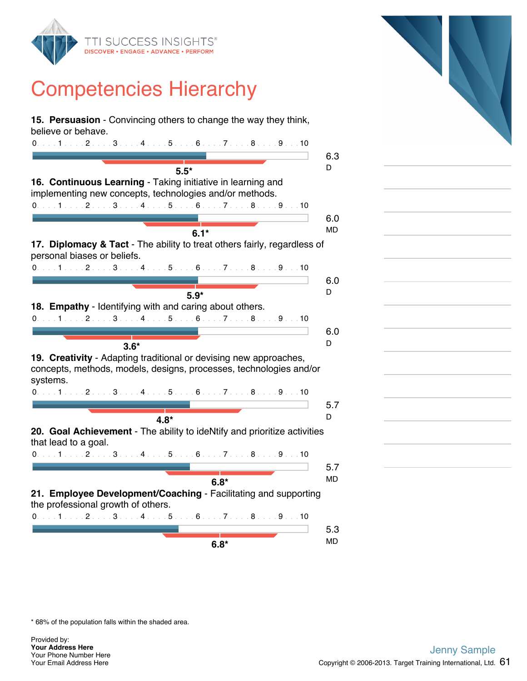

**15. Persuasion** - Convincing others to change the way they think, believe or behave. 0. . . . 1 . . . . 2 . . . . 3 . . . . 4 . . . . 5 . . . . 6 . . . . 7 . . . . 8 . . . . 9 . . . 10 6.3 <sup>D</sup> **5.5\* 16. Continuous Learning** - Taking initiative in learning and implementing new concepts, technologies and/or methods. 0. . . . 1 . . . . 2 . . . . 3 . . . . 4 . . . . 5 . . . . 6 . . . . 7 . . . . 8 . . . . 9 . . . 10 6.0 MD **6.1\* 17. Diplomacy & Tact** - The ability to treat others fairly, regardless of personal biases or beliefs. 0. . . . 1 . . . . 2 . . . . 3 . . . . 4 . . . . 5 . . . . 6 . . . . 7 . . . . 8 . . . . 9 . . . 10 6.0 <sup>D</sup> **5.9\* 18. Empathy** - Identifying with and caring about others. 0. . . . 1 . . . . 2 . . . . 3 . . . . 4 . . . . 5 . . . . 6 . . . . 7 . . . . 8 . . . . 9 . . . 10 6.0 **3.6\*** D **19. Creativity** - Adapting traditional or devising new approaches, concepts, methods, models, designs, processes, technologies and/or systems. 0. . . . 1 . . . . 2 . . . . 3 . . . . 4 . . . . 5 . . . . 6 . . . . 7 . . . . 8 . . . . 9 . . . 10 5.7 <sup>D</sup> **4.8\* 20. Goal Achievement** - The ability to ideNtify and prioritize activities that lead to a goal. 0. . . . 1 . . . . 2 . . . . 3 . . . . 4 . . . . 5 . . . . 6 . . . . 7 . . . . 8 . . . . 9 . . . 10 5.7 and the MD **6.8\* 21. Employee Development/Coaching** - Facilitating and supporting the professional growth of others. 0. . . . 1 . . . . 2 . . . . 3 . . . . 4 . . . . 5 . . . . 6 . . . . 7 . . . . 8 . . . . 9 . . . 10 5.3 MD **6.8\***



\* 68% of the population falls within the shaded area.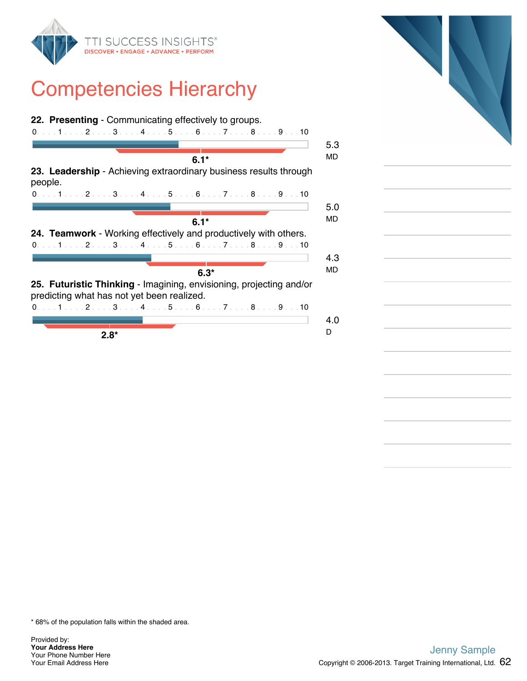





\* 68% of the population falls within the shaded area.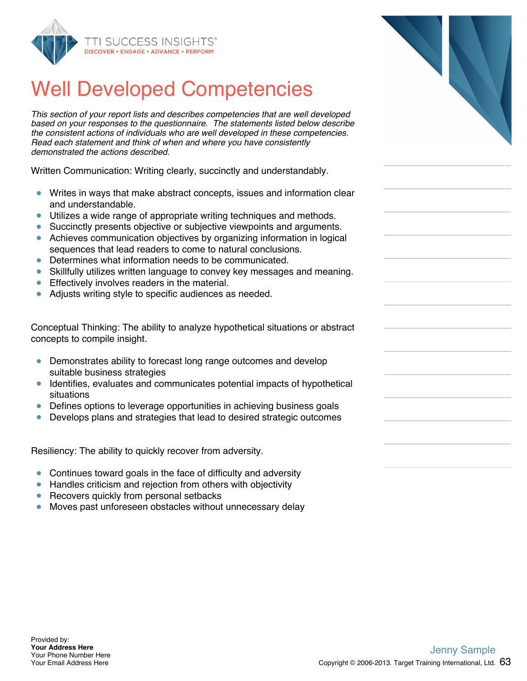

#### Well Developed Competencies

*This section of your report lists and describes competencies that are well developed based on your responses to the questionnaire. The statements listed below describe the consistent actions of individuals who are well developed in these competencies. Read each statement and think of when and where you have consistently demonstrated the actions described.*

Written Communication: Writing clearly, succinctly and understandably.

- Writes in ways that make abstract concepts, issues and information clear and understandable.
- Utilizes a wide range of appropriate writing techniques and methods.
- Succinctly presents objective or subjective viewpoints and arguments.
- Achieves communication objectives by organizing information in logical sequences that lead readers to come to natural conclusions.
- Determines what information needs to be communicated.
- Skillfully utilizes written language to convey key messages and meaning.  $\bullet$
- Effectively involves readers in the material.  $\bullet$
- Adjusts writing style to specific audiences as needed.

Conceptual Thinking: The ability to analyze hypothetical situations or abstract concepts to compile insight.

- $\bullet$ Demonstrates ability to forecast long range outcomes and develop suitable business strategies
- Identifies, evaluates and communicates potential impacts of hypothetical situations
- Defines options to leverage opportunities in achieving business goals
- Develops plans and strategies that lead to desired strategic outcomes

Resiliency: The ability to quickly recover from adversity.

- Continues toward goals in the face of difficulty and adversity  $\bullet$
- Handles criticism and rejection from others with objectivity  $\bullet$
- $\bullet$ Recovers quickly from personal setbacks
- Moves past unforeseen obstacles without unnecessary delay  $\bullet$

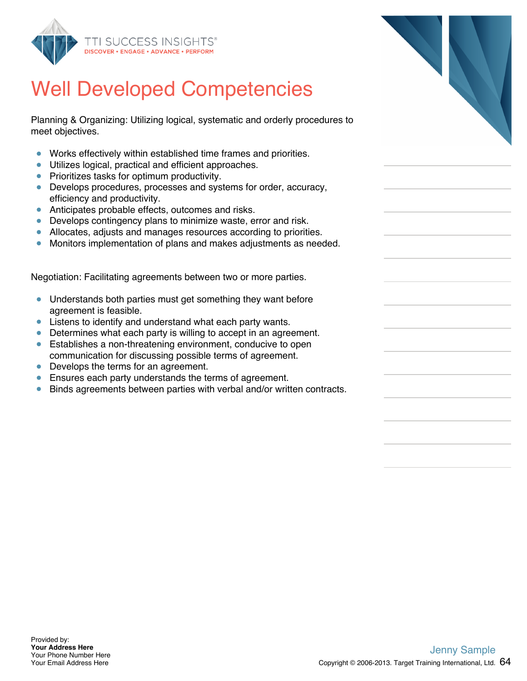

#### Well Developed Competencies

Planning & Organizing: Utilizing logical, systematic and orderly procedures to meet objectives.

- Works effectively within established time frames and priorities.  $\bullet$
- $\bullet$ Utilizes logical, practical and efficient approaches.
- Prioritizes tasks for optimum productivity.
- Develops procedures, processes and systems for order, accuracy, efficiency and productivity.
- Anticipates probable effects, outcomes and risks.
- Develops contingency plans to minimize waste, error and risk.
- Allocates, adjusts and manages resources according to priorities.  $\bullet$
- Monitors implementation of plans and makes adjustments as needed.

Negotiation: Facilitating agreements between two or more parties.

- Understands both parties must get something they want before  $\bullet$ agreement is feasible.
- **EXTERS** to identify and understand what each party wants.
- Determines what each party is willing to accept in an agreement.
- Establishes a non-threatening environment, conducive to open communication for discussing possible terms of agreement.
- Develops the terms for an agreement.
- **Ensures each party understands the terms of agreement.**
- Binds agreements between parties with verbal and/or written contracts.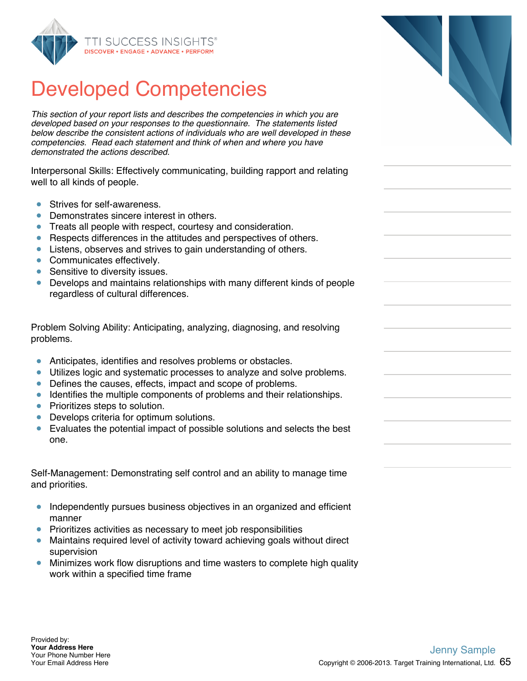

*This section of your report lists and describes the competencies in which you are developed based on your responses to the questionnaire. The statements listed below describe the consistent actions of individuals who are well developed in these competencies. Read each statement and think of when and where you have demonstrated the actions described.*

Interpersonal Skills: Effectively communicating, building rapport and relating well to all kinds of people.

- Strives for self-awareness.  $\bullet$
- Demonstrates sincere interest in others.  $\bullet$
- Treats all people with respect, courtesy and consideration.  $\bullet$
- Respects differences in the attitudes and perspectives of others.
- Listens, observes and strives to gain understanding of others.
- Communicates effectively.
- **Sensitive to diversity issues.**
- Develops and maintains relationships with many different kinds of people regardless of cultural differences.

Problem Solving Ability: Anticipating, analyzing, diagnosing, and resolving problems.

- Anticipates, identifies and resolves problems or obstacles.
- $\bullet$ Utilizes logic and systematic processes to analyze and solve problems.
- Defines the causes, effects, impact and scope of problems.  $\bullet$
- Identifies the multiple components of problems and their relationships.
- Prioritizes steps to solution.
- Develops criteria for optimum solutions.
- $\bullet$ Evaluates the potential impact of possible solutions and selects the best one.

Self-Management: Demonstrating self control and an ability to manage time and priorities.

- Independently pursues business objectives in an organized and efficient  $\bullet$ manner
- **•** Prioritizes activities as necessary to meet job responsibilities
- Maintains required level of activity toward achieving goals without direct supervision
- Minimizes work flow disruptions and time wasters to complete high quality work within a specified time frame

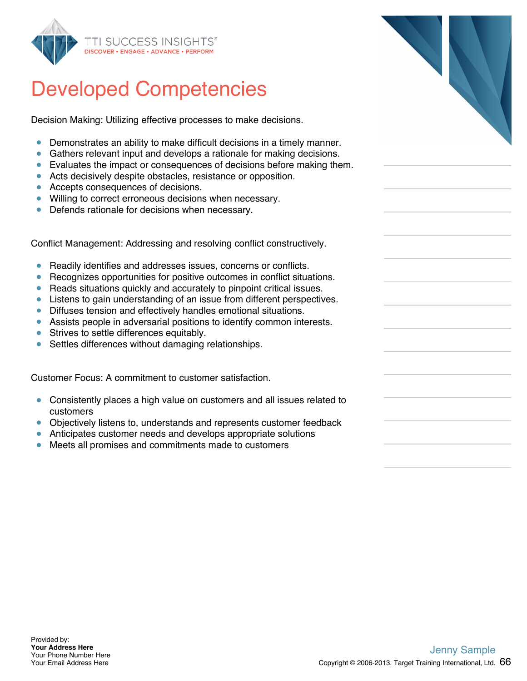

Decision Making: Utilizing effective processes to make decisions.

- Demonstrates an ability to make difficult decisions in a timely manner.
- Gathers relevant input and develops a rationale for making decisions.
- Evaluates the impact or consequences of decisions before making them.
- Acts decisively despite obstacles, resistance or opposition.
- Accepts consequences of decisions.
- **•** Willing to correct erroneous decisions when necessary.
- Defends rationale for decisions when necessary.

Conflict Management: Addressing and resolving conflict constructively.

- Readily identifies and addresses issues, concerns or conflicts.  $\bullet$
- Recognizes opportunities for positive outcomes in conflict situations.  $\bullet$
- Reads situations quickly and accurately to pinpoint critical issues.  $\bullet$
- Listens to gain understanding of an issue from different perspectives.
- Diffuses tension and effectively handles emotional situations.
- Assists people in adversarial positions to identify common interests.
- **Strives to settle differences equitably.**
- Settles differences without damaging relationships.

Customer Focus: A commitment to customer satisfaction.

- $\bullet$ Consistently places a high value on customers and all issues related to customers
- Objectively listens to, understands and represents customer feedback
- Anticipates customer needs and develops appropriate solutions
- Meets all promises and commitments made to customers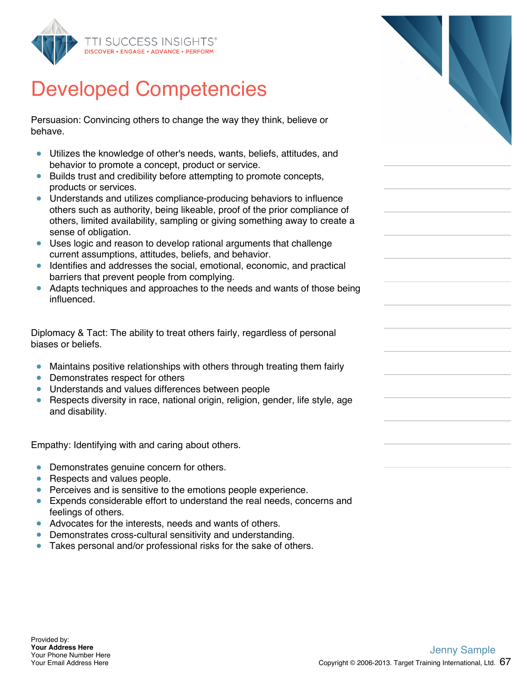

Persuasion: Convincing others to change the way they think, believe or behave.

- Utilizes the knowledge of other's needs, wants, beliefs, attitudes, and  $\bullet$ behavior to promote a concept, product or service.
- Builds trust and credibility before attempting to promote concepts, products or services.
- Understands and utilizes compliance-producing behaviors to influence others such as authority, being likeable, proof of the prior compliance of others, limited availability, sampling or giving something away to create a sense of obligation.
- Uses logic and reason to develop rational arguments that challenge current assumptions, attitudes, beliefs, and behavior.
- Identifies and addresses the social, emotional, economic, and practical barriers that prevent people from complying.
- Adapts techniques and approaches to the needs and wants of those being influenced.

Diplomacy & Tact: The ability to treat others fairly, regardless of personal biases or beliefs.

- Maintains positive relationships with others through treating them fairly
- Demonstrates respect for others
- **Understands and values differences between people**
- Respects diversity in race, national origin, religion, gender, life style, age and disability.

Empathy: Identifying with and caring about others.

- Demonstrates genuine concern for others.
- Respects and values people.
- **•** Perceives and is sensitive to the emotions people experience.
- Expends considerable effort to understand the real needs, concerns and feelings of others.
- Advocates for the interests, needs and wants of others.
- Demonstrates cross-cultural sensitivity and understanding.
- Takes personal and/or professional risks for the sake of others.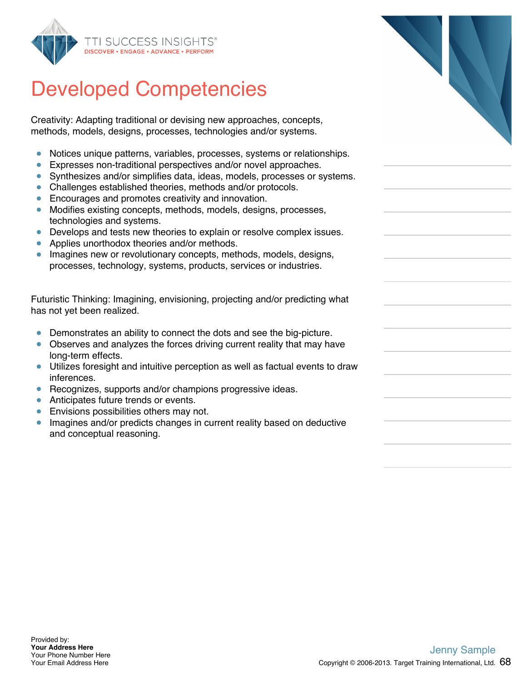

Creativity: Adapting traditional or devising new approaches, concepts, methods, models, designs, processes, technologies and/or systems.

- Notices unique patterns, variables, processes, systems or relationships.  $\bullet$
- $\bullet$ Expresses non-traditional perspectives and/or novel approaches.
- Synthesizes and/or simplifies data, ideas, models, processes or systems.
- Challenges established theories, methods and/or protocols.
- **Encourages and promotes creativity and innovation.**
- Modifies existing concepts, methods, models, designs, processes, technologies and systems.
- Develops and tests new theories to explain or resolve complex issues.
- Applies unorthodox theories and/or methods.  $\bullet$
- **Imagines new or revolutionary concepts, methods, models, designs,** processes, technology, systems, products, services or industries.

Futuristic Thinking: Imagining, envisioning, projecting and/or predicting what has not yet been realized.

- Demonstrates an ability to connect the dots and see the big-picture.
- Observes and analyzes the forces driving current reality that may have long-term effects.
- Utilizes foresight and intuitive perception as well as factual events to draw inferences.
- Recognizes, supports and/or champions progressive ideas.
- **Anticipates future trends or events.**
- **Envisions possibilities others may not.**
- **Imagines and/or predicts changes in current reality based on deductive** and conceptual reasoning.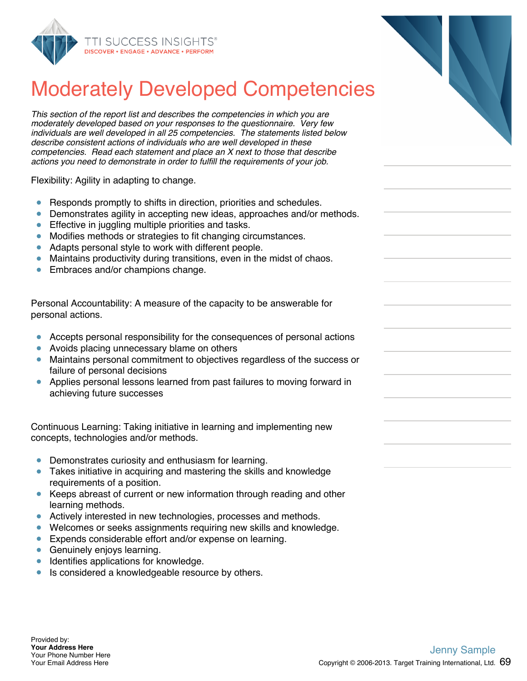

### Moderately Developed Competencies

*This section of the report list and describes the competencies in which you are moderately developed based on your responses to the questionnaire. Very few individuals are well developed in all 25 competencies. The statements listed below describe consistent actions of individuals who are well developed in these competencies. Read each statement and place an X next to those that describe actions you need to demonstrate in order to fulfill the requirements of your job.*

Flexibility: Agility in adapting to change.

- $\bullet$ Responds promptly to shifts in direction, priorities and schedules.
- Demonstrates agility in accepting new ideas, approaches and/or methods.  $\bullet$
- Effective in juggling multiple priorities and tasks.  $\bullet$
- Modifies methods or strategies to fit changing circumstances.  $\bullet$
- Adapts personal style to work with different people.  $\bullet$
- Maintains productivity during transitions, even in the midst of chaos.  $\bullet$
- Embraces and/or champions change.

Personal Accountability: A measure of the capacity to be answerable for personal actions.

- Accepts personal responsibility for the consequences of personal actions  $\bullet$
- Avoids placing unnecessary blame on others
- Maintains personal commitment to objectives regardless of the success or  $\bullet$ failure of personal decisions
- $\bullet$ Applies personal lessons learned from past failures to moving forward in achieving future successes

Continuous Learning: Taking initiative in learning and implementing new concepts, technologies and/or methods.

- Demonstrates curiosity and enthusiasm for learning.  $\bullet$
- Takes initiative in acquiring and mastering the skills and knowledge requirements of a position.
- Keeps abreast of current or new information through reading and other learning methods.
- Actively interested in new technologies, processes and methods.  $\bullet$
- Welcomes or seeks assignments requiring new skills and knowledge.
- $\bullet$ Expends considerable effort and/or expense on learning.
- Genuinely enjoys learning.  $\bullet$
- **Identifies applications for knowledge.**
- Is considered a knowledgeable resource by others.  $\bullet$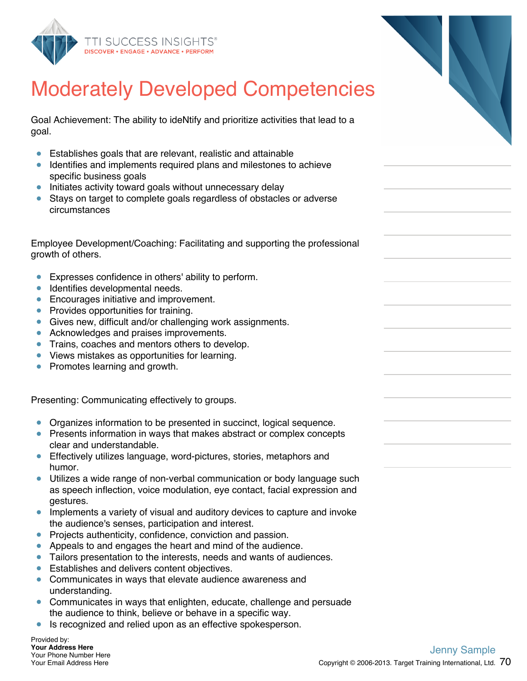



Goal Achievement: The ability to ideNtify and prioritize activities that lead to a goal.

- Establishes goals that are relevant, realistic and attainable
- Identifies and implements required plans and milestones to achieve specific business goals
- Initiates activity toward goals without unnecessary delay
- Stays on target to complete goals regardless of obstacles or adverse circumstances

Employee Development/Coaching: Facilitating and supporting the professional growth of others.

- $\bullet$ Expresses confidence in others' ability to perform.
- Identifies developmental needs.  $\bullet$
- **Encourages initiative and improvement.**
- Provides opportunities for training.
- Gives new, difficult and/or challenging work assignments.
- Acknowledges and praises improvements.
- **Trains, coaches and mentors others to develop.**
- Views mistakes as opportunities for learning.
- Promotes learning and growth.

Presenting: Communicating effectively to groups.

- Organizes information to be presented in succinct, logical sequence.
- **Presents information in ways that makes abstract or complex concepts** clear and understandable.
- **Effectively utilizes language, word-pictures, stories, metaphors and** humor.
- Utilizes a wide range of non-verbal communication or body language such as speech inflection, voice modulation, eye contact, facial expression and gestures.
- **Implements a variety of visual and auditory devices to capture and invoke** the audience's senses, participation and interest.
- **•** Projects authenticity, confidence, conviction and passion.
- Appeals to and engages the heart and mind of the audience.
- Tailors presentation to the interests, needs and wants of audiences.
- **Establishes and delivers content objectives.**
- Communicates in ways that elevate audience awareness and understanding.
- Communicates in ways that enlighten, educate, challenge and persuade the audience to think, believe or behave in a specific way.
- Is recognized and relied upon as an effective spokesperson.  $\bullet$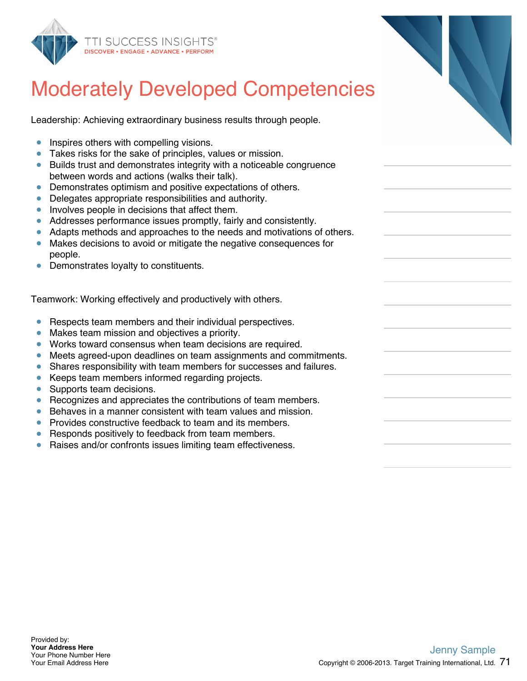

| <b>Moderately Developed Competencies</b> |  |  |  |
|------------------------------------------|--|--|--|
|                                          |  |  |  |

Leadership: Achieving extraordinary business results through people.

- **Inspires others with compelling visions.**
- Takes risks for the sake of principles, values or mission.
- Builds trust and demonstrates integrity with a noticeable congruence between words and actions (walks their talk).
- Demonstrates optimism and positive expectations of others.
- Delegates appropriate responsibilities and authority.
- Involves people in decisions that affect them.
- Addresses performance issues promptly, fairly and consistently.
- Adapts methods and approaches to the needs and motivations of others.
- Makes decisions to avoid or mitigate the negative consequences for people.
- Demonstrates loyalty to constituents.

Teamwork: Working effectively and productively with others.

- **•** Respects team members and their individual perspectives.
- Makes team mission and objectives a priority.
- Works toward consensus when team decisions are required.
- Meets agreed-upon deadlines on team assignments and commitments.
- Shares responsibility with team members for successes and failures.  $\bullet$
- $\bullet$ Keeps team members informed regarding projects.
- Supports team decisions.  $\bullet$
- $\bullet$ Recognizes and appreciates the contributions of team members.
- Behaves in a manner consistent with team values and mission.  $\bullet$
- Provides constructive feedback to team and its members.  $\bullet$
- Responds positively to feedback from team members.
- Raises and/or confronts issues limiting team effectiveness.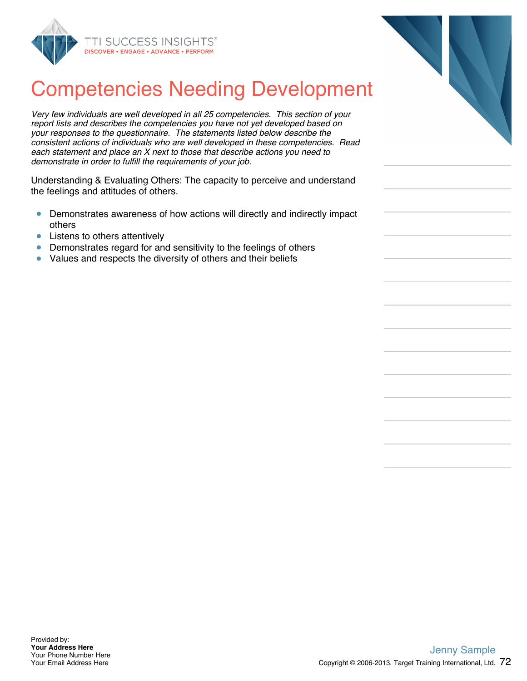

## Competencies Needing Development

*Very few individuals are well developed in all 25 competencies. This section of your report lists and describes the competencies you have not yet developed based on your responses to the questionnaire. The statements listed below describe the consistent actions of individuals who are well developed in these competencies. Read each statement and place an X next to those that describe actions you need to demonstrate in order to fulfill the requirements of your job.*

Understanding & Evaluating Others: The capacity to perceive and understand the feelings and attitudes of others.

- Demonstrates awareness of how actions will directly and indirectly impact  $\bullet$ others
- Listens to others attentively  $\bullet$
- Demonstrates regard for and sensitivity to the feelings of others  $\bullet$
- Values and respects the diversity of others and their beliefs